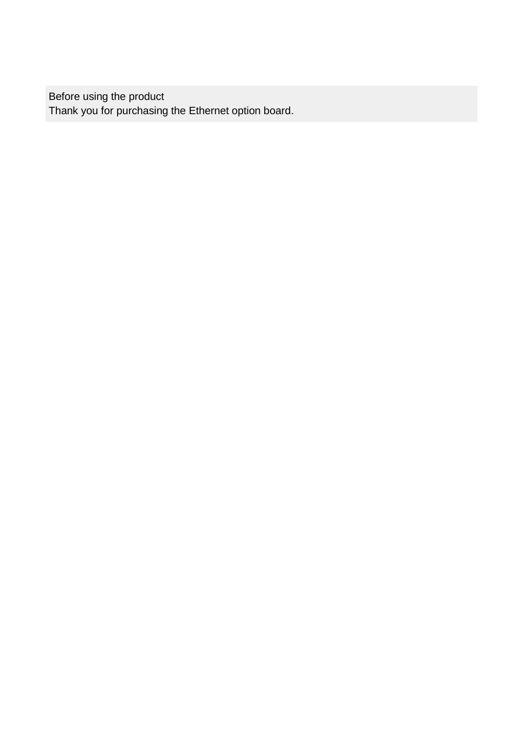Before using the product Thank you for purchasing the Ethernet option board.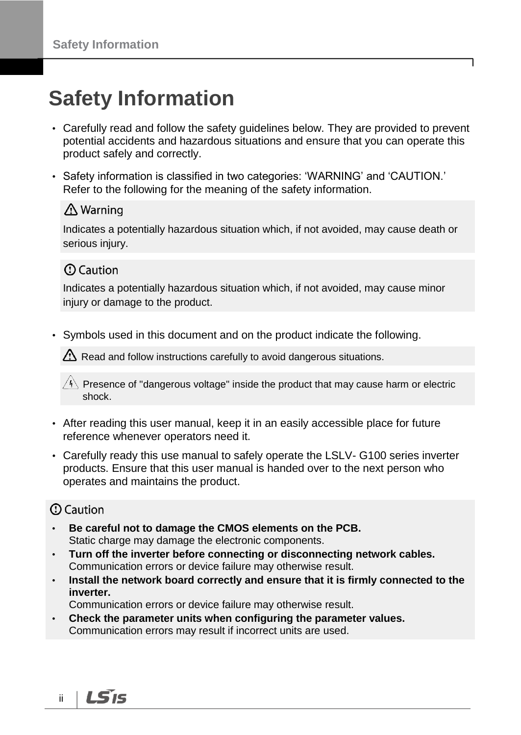# **Safety Information**

- Carefully read and follow the safety guidelines below. They are provided to prevent potential accidents and hazardous situations and ensure that you can operate this product safely and correctly.
- Safety information is classified in two categories: 'WARNING' and 'CAUTION.' Refer to the following for the meaning of the safety information.

#### ∆ Warning

Indicates a potentially hazardous situation which, if not avoided, may cause death or serious injury.

### **1** Caution

Indicates a potentially hazardous situation which, if not avoided, may cause minor injury or damage to the product.

• Symbols used in this document and on the product indicate the following.

 $\Delta$  Read and follow instructions carefully to avoid dangerous situations.

 $\langle 4 \rangle$  Presence of "dangerous voltage" inside the product that may cause harm or electric shock.

- After reading this user manual, keep it in an easily accessible place for future reference whenever operators need it.
- Carefully ready this use manual to safely operate the LSLV- G100 series inverter products. Ensure that this user manual is handed over to the next person who operates and maintains the product.

### **1** Caution

- **Be careful not to damage the CMOS elements on the PCB.**  Static charge may damage the electronic components.
- **Turn off the inverter before connecting or disconnecting network cables.**  Communication errors or device failure may otherwise result.
- **Install the network board correctly and ensure that it is firmly connected to the inverter.**

Communication errors or device failure may otherwise result.

• **Check the parameter units when configuring the parameter values.** Communication errors may result if incorrect units are used.

LS'is ii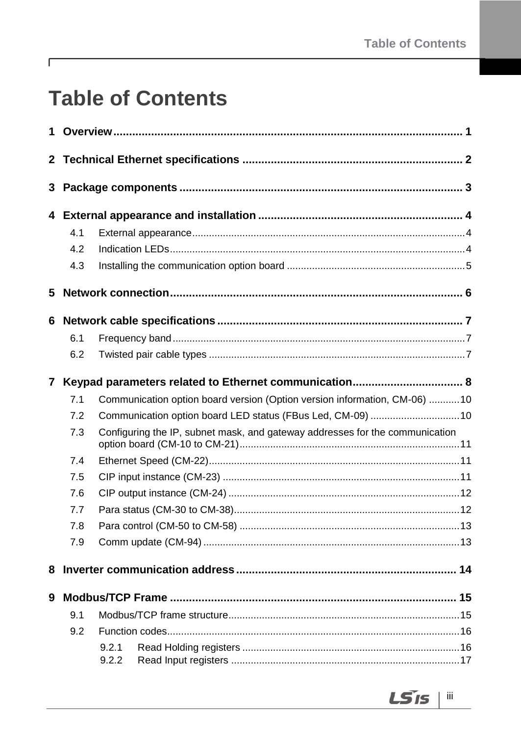# **Table of Contents**

 $\Gamma$ 

| 1            |     |                |                                                                              |  |  |
|--------------|-----|----------------|------------------------------------------------------------------------------|--|--|
|              |     |                |                                                                              |  |  |
| 3            |     |                |                                                                              |  |  |
|              |     |                |                                                                              |  |  |
|              | 4.1 |                |                                                                              |  |  |
|              | 4.2 |                |                                                                              |  |  |
|              | 4.3 |                |                                                                              |  |  |
| 5            |     |                |                                                                              |  |  |
| 6            |     |                |                                                                              |  |  |
|              | 6.1 |                |                                                                              |  |  |
|              | 6.2 |                |                                                                              |  |  |
| $\mathbf{7}$ |     |                |                                                                              |  |  |
|              | 7.1 |                | Communication option board version (Option version information, CM-06) 10    |  |  |
|              | 7.2 |                | Communication option board LED status (FBus Led, CM-09)  10                  |  |  |
|              | 7.3 |                | Configuring the IP, subnet mask, and gateway addresses for the communication |  |  |
|              | 7.4 |                |                                                                              |  |  |
|              | 7.5 |                |                                                                              |  |  |
|              | 7.6 |                |                                                                              |  |  |
|              | 7.7 |                |                                                                              |  |  |
|              | 7.8 |                |                                                                              |  |  |
|              | 7.9 |                |                                                                              |  |  |
| 8            |     |                |                                                                              |  |  |
| 9            |     |                |                                                                              |  |  |
|              | 9.1 |                |                                                                              |  |  |
|              | 9.2 |                |                                                                              |  |  |
|              |     | 9.2.1<br>9.2.2 |                                                                              |  |  |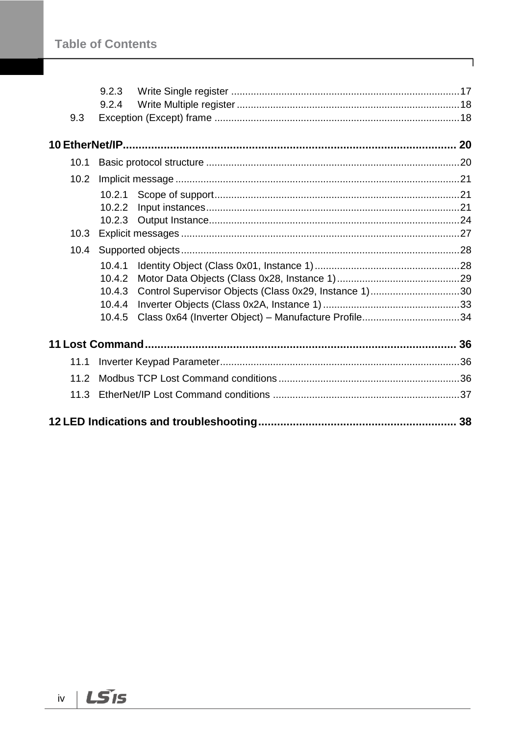|      | 9.2.4  |                                                       |  |
|------|--------|-------------------------------------------------------|--|
| 9.3  |        |                                                       |  |
|      |        |                                                       |  |
| 10.1 |        |                                                       |  |
| 10.2 |        |                                                       |  |
|      | 10.2.1 |                                                       |  |
|      | 10.2.2 |                                                       |  |
|      |        |                                                       |  |
| 10.3 |        |                                                       |  |
| 10.4 |        |                                                       |  |
|      | 10.4.1 |                                                       |  |
|      | 10.4.2 |                                                       |  |
|      | 10.4.3 | Control Supervisor Objects (Class 0x29, Instance 1)30 |  |
|      | 10.4.4 |                                                       |  |
|      | 10.4.5 | Class 0x64 (Inverter Object) - Manufacture Profile34  |  |
|      |        |                                                       |  |
|      |        |                                                       |  |
| 11.1 |        |                                                       |  |
| 11.2 |        |                                                       |  |
| 11.3 |        |                                                       |  |
|      |        |                                                       |  |
|      |        |                                                       |  |

٦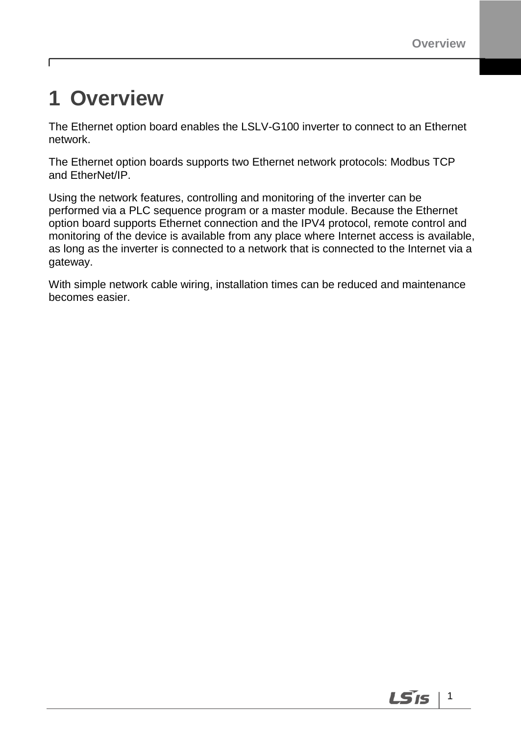$\vert$  1

LS is

# <span id="page-4-0"></span>**1 Overview**

г

The Ethernet option board enables the LSLV-G100 inverter to connect to an Ethernet network.

The Ethernet option boards supports two Ethernet network protocols: Modbus TCP and EtherNet/IP.

Using the network features, controlling and monitoring of the inverter can be performed via a PLC sequence program or a master module. Because the Ethernet option board supports Ethernet connection and the IPV4 protocol, remote control and monitoring of the device is available from any place where Internet access is available, as long as the inverter is connected to a network that is connected to the Internet via a gateway.

With simple network cable wiring, installation times can be reduced and maintenance becomes easier.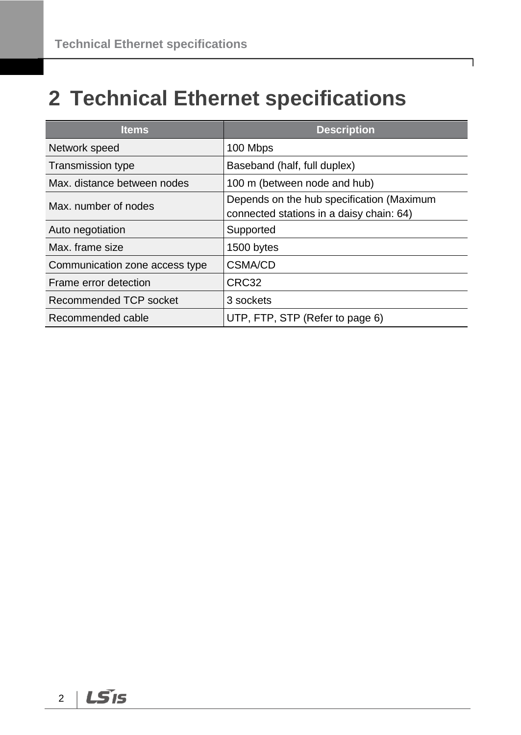# <span id="page-5-0"></span>**2 Technical Ethernet specifications**

| <b>Items</b>                   | <b>Description</b>                                                                    |
|--------------------------------|---------------------------------------------------------------------------------------|
| Network speed                  | 100 Mbps                                                                              |
| <b>Transmission type</b>       | Baseband (half, full duplex)                                                          |
| Max. distance between nodes    | 100 m (between node and hub)                                                          |
| Max. number of nodes           | Depends on the hub specification (Maximum<br>connected stations in a daisy chain: 64) |
| Auto negotiation               | Supported                                                                             |
| Max, frame size                | 1500 bytes                                                                            |
| Communication zone access type | <b>CSMA/CD</b>                                                                        |
| Frame error detection          | CRC32                                                                                 |
| Recommended TCP socket         | 3 sockets                                                                             |
| Recommended cable              | UTP, FTP, STP (Refer to page 6)                                                       |

٦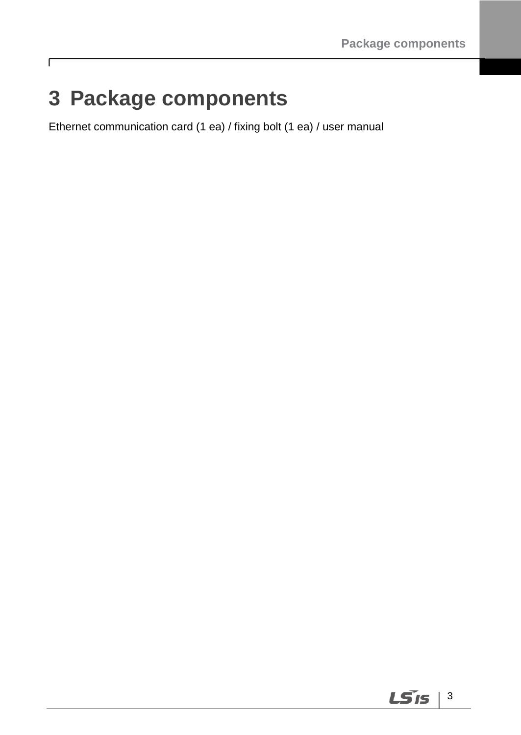# <span id="page-6-0"></span>**3 Package components**

 $\Gamma$ 

Ethernet communication card (1 ea) / fixing bolt (1 ea) / user manual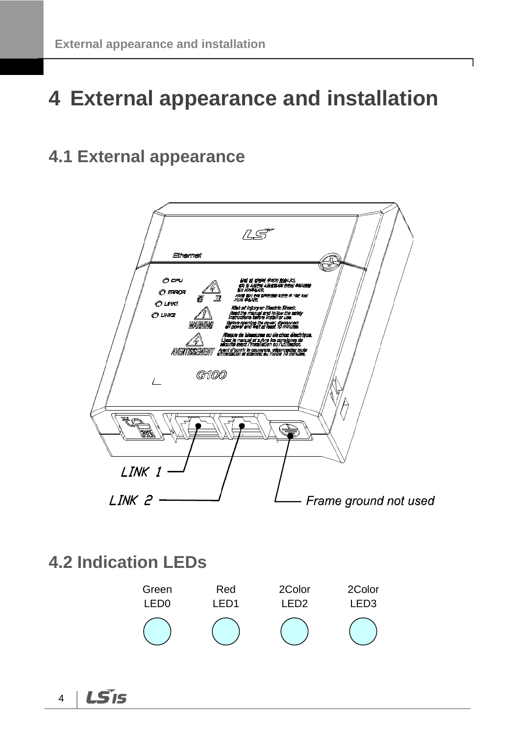# <span id="page-7-0"></span>**4 External appearance and installation**

## <span id="page-7-1"></span>**4.1 External appearance**



### <span id="page-7-2"></span>**4.2 Indication LEDs**



LS<sub>IS</sub> 4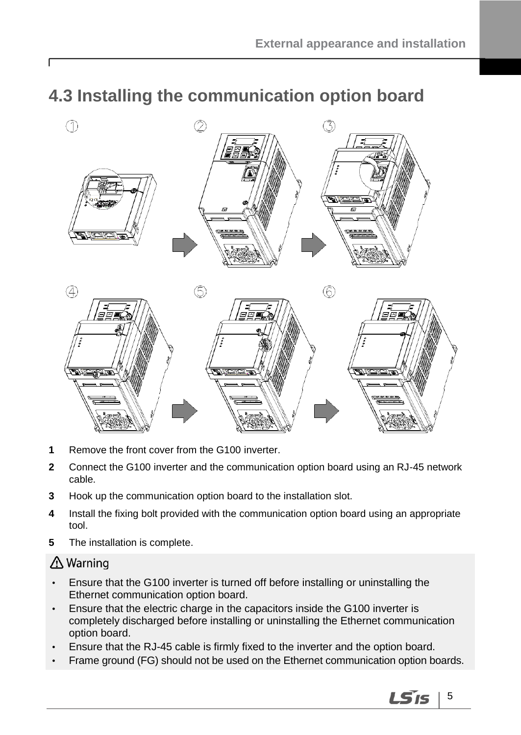## <span id="page-8-0"></span>**4.3 Installing the communication option board**



- **1** Remove the front cover from the G100 inverter.
- **2** Connect the G100 inverter and the communication option board using an RJ-45 network cable.
- **3** Hook up the communication option board to the installation slot.
- **4** Install the fixing bolt provided with the communication option board using an appropriate tool.
- **5** The installation is complete.

### ∆ Warning

ſ

- Ensure that the G100 inverter is turned off before installing or uninstalling the Ethernet communication option board.
- Ensure that the electric charge in the capacitors inside the G100 inverter is completely discharged before installing or uninstalling the Ethernet communication option board.
- Ensure that the RJ-45 cable is firmly fixed to the inverter and the option board.
- Frame ground (FG) should not be used on the Ethernet communication option boards.

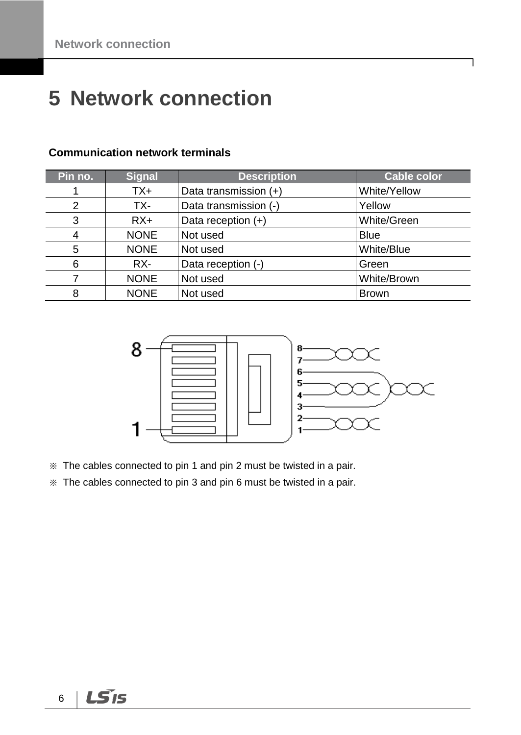# <span id="page-9-0"></span>**Network connection**

| Pin no. | <b>Signal</b> | <b>Description</b>    | <b>Cable color</b> |
|---------|---------------|-----------------------|--------------------|
|         | TX+           | Data transmission (+) | White/Yellow       |
| 2       | TX-           | Data transmission (-) | Yellow             |
| 3       | $RX+$         | Data reception $(+)$  | White/Green        |
| 4       | <b>NONE</b>   | Not used              | <b>Blue</b>        |
| 5       | <b>NONE</b>   | Not used              | White/Blue         |
| 6       | RX-           | Data reception (-)    | Green              |
|         | <b>NONE</b>   | Not used              | White/Brown        |
| 8       | <b>NONE</b>   | Not used              | <b>Brown</b>       |

#### **Communication network terminals**



- ※ The cables connected to pin 1 and pin 2 must be twisted in a pair.
- ※ The cables connected to pin 3 and pin 6 must be twisted in a pair.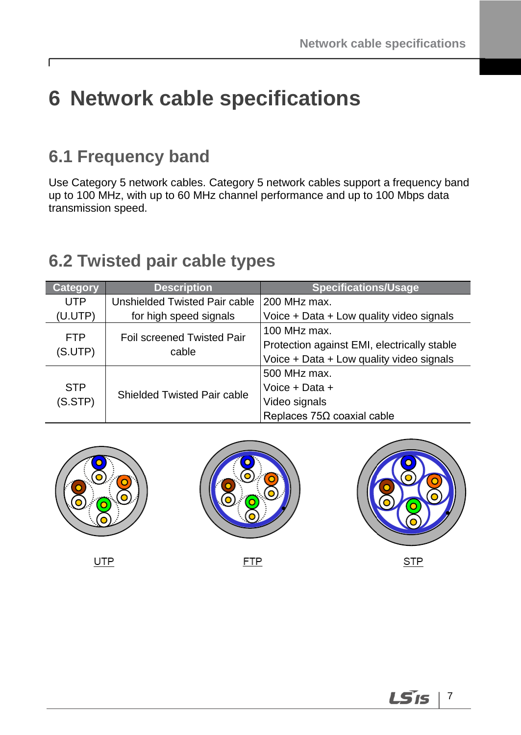# <span id="page-10-0"></span>**6 Network cable specifications**

## <span id="page-10-1"></span>**6.1 Frequency band**

 $\Gamma$ 

Use Category 5 network cables. Category 5 network cables support a frequency band up to 100 MHz, with up to 60 MHz channel performance and up to 100 Mbps data transmission speed.

## <span id="page-10-2"></span>**6.2 Twisted pair cable types**

| <b>Category</b> | <b>Description</b>            | <b>Specifications/Usage</b>                 |
|-----------------|-------------------------------|---------------------------------------------|
| <b>UTP</b>      | Unshielded Twisted Pair cable | $200$ MHz max.                              |
| (U.UTP)         | for high speed signals        | Voice + Data + Low quality video signals    |
| <b>FTP</b>      | Foil screened Twisted Pair    | 100 MHz max.                                |
| (S.UTP)         | cable                         | Protection against EMI, electrically stable |
|                 |                               | Voice + Data + Low quality video signals    |
|                 |                               | 500 MHz max.                                |
| <b>STP</b>      | Shielded Twisted Pair cable   | Voice + Data +                              |
| (S.STP)         |                               | Video signals                               |
|                 |                               | Replaces $75\Omega$ coaxial cable           |



**LS**IS 7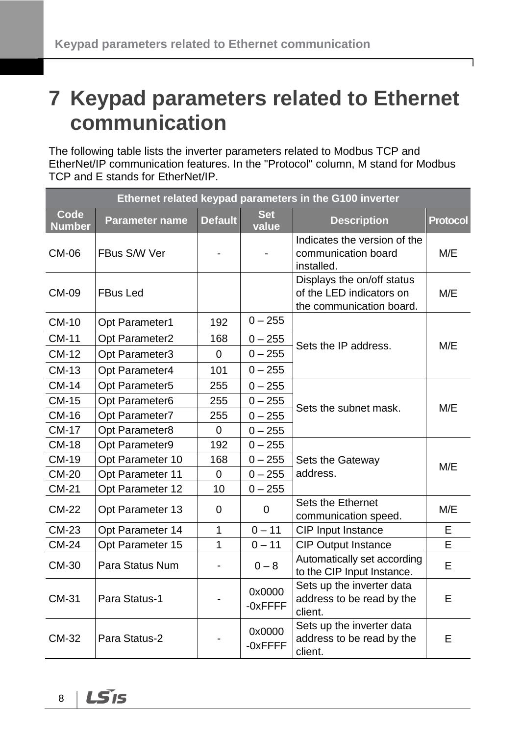# <span id="page-11-0"></span>**7 Keypad parameters related to Ethernet communication**

The following table lists the inverter parameters related to Modbus TCP and EtherNet/IP communication features. In the "Protocol" column, M stand for Modbus TCP and E stands for EtherNet/IP.

| Ethernet related keypad parameters in the G100 inverter |                       |                |                     |                                                                                    |                 |  |
|---------------------------------------------------------|-----------------------|----------------|---------------------|------------------------------------------------------------------------------------|-----------------|--|
| <b>Code</b><br><b>Number</b>                            | <b>Parameter name</b> | <b>Default</b> | <b>Set</b><br>value | <b>Description</b>                                                                 | <b>Protocol</b> |  |
| <b>CM-06</b>                                            | FBus S/W Ver          |                |                     | Indicates the version of the<br>communication board<br>installed.                  | M/E             |  |
| <b>CM-09</b>                                            | <b>FBus Led</b>       |                |                     | Displays the on/off status<br>of the LED indicators on<br>the communication board. | M/E             |  |
| <b>CM-10</b>                                            | Opt Parameter1        | 192            | $0 - 255$           |                                                                                    |                 |  |
| <b>CM-11</b>                                            | Opt Parameter2        | 168            | $0 - 255$           | Sets the IP address.                                                               | M/E             |  |
| <b>CM-12</b>                                            | Opt Parameter3        | $\mathbf 0$    | $0 - 255$           |                                                                                    |                 |  |
| <b>CM-13</b>                                            | Opt Parameter4        | 101            | $0 - 255$           |                                                                                    |                 |  |
| <b>CM-14</b>                                            | Opt Parameter5        | 255            | $0 - 255$           |                                                                                    |                 |  |
| <b>CM-15</b>                                            | Opt Parameter6        | 255            | $0 - 255$           |                                                                                    |                 |  |
| <b>CM-16</b>                                            | Opt Parameter7        | 255            | $0 - 255$           | Sets the subnet mask.                                                              | M/E             |  |
| <b>CM-17</b>                                            | Opt Parameter8        | $\overline{0}$ | $0 - 255$           |                                                                                    |                 |  |
| <b>CM-18</b>                                            | Opt Parameter9        | 192            | $0 - 255$           |                                                                                    |                 |  |
| <b>CM-19</b>                                            | Opt Parameter 10      | 168            | $0 - 255$           | Sets the Gateway                                                                   | M/E             |  |
| <b>CM-20</b>                                            | Opt Parameter 11      | 0              | $0 - 255$           | address.                                                                           |                 |  |
| <b>CM-21</b>                                            | Opt Parameter 12      | 10             | $0 - 255$           |                                                                                    |                 |  |
| <b>CM-22</b>                                            | Opt Parameter 13      | 0              | 0                   | Sets the Ethernet<br>communication speed.                                          | M/E             |  |
| <b>CM-23</b>                                            | Opt Parameter 14      | $\mathbf 1$    | $0 - 11$            | CIP Input Instance                                                                 | E               |  |
| <b>CM-24</b>                                            | Opt Parameter 15      | 1              | $0 - 11$            | <b>CIP Output Instance</b>                                                         | E               |  |
| CM-30                                                   | Para Status Num       |                | $0 - 8$             | Automatically set according<br>to the CIP Input Instance.                          | E               |  |
| <b>CM-31</b>                                            | Para Status-1         |                | 0x0000<br>-0xFFFF   | Sets up the inverter data<br>address to be read by the<br>client.                  | E               |  |
| <b>CM-32</b>                                            | Para Status-2         |                | 0x0000<br>-0xFFFF   | Sets up the inverter data<br>address to be read by the<br>client.                  | E               |  |

LS<sub>IS</sub> 8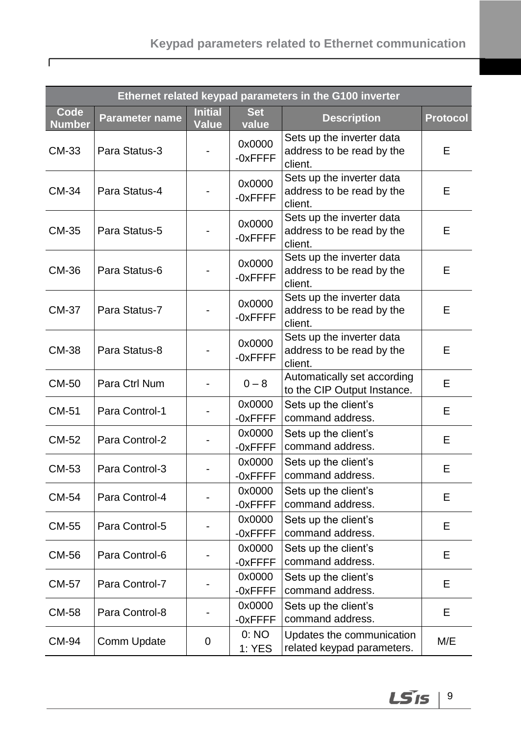### **Keypad parameters related to Ethernet communication**

 $\Gamma$ 

| Ethernet related keypad parameters in the G100 inverter |                       |                                |                      |                                                                   |                 |
|---------------------------------------------------------|-----------------------|--------------------------------|----------------------|-------------------------------------------------------------------|-----------------|
| Code<br><b>Number</b>                                   | <b>Parameter name</b> | <b>Initial</b><br><b>Value</b> | <b>Set</b><br>value  | <b>Description</b>                                                | <b>Protocol</b> |
| CM-33                                                   | Para Status-3         |                                | 0x0000<br>$-0x$ FFFF | Sets up the inverter data<br>address to be read by the<br>client. | Е               |
| CM-34                                                   | Para Status-4         |                                | 0x0000<br>$-0x$ FFFF | Sets up the inverter data<br>address to be read by the<br>client. | E               |
| CM-35                                                   | Para Status-5         |                                | 0x0000<br>$-0x$ FFFF | Sets up the inverter data<br>address to be read by the<br>client. | E               |
| CM-36                                                   | Para Status-6         |                                | 0x0000<br>$-0x$ FFFF | Sets up the inverter data<br>address to be read by the<br>client. | E               |
| <b>CM-37</b>                                            | Para Status-7         |                                | 0x0000<br>$-0x$ FFFF | Sets up the inverter data<br>address to be read by the<br>client. | Е               |
| <b>CM-38</b>                                            | Para Status-8         |                                | 0x0000<br>$-0x$ FFFF | Sets up the inverter data<br>address to be read by the<br>client. | E               |
| CM-50                                                   | Para Ctrl Num         |                                | $0 - 8$              | Automatically set according<br>to the CIP Output Instance.        | E               |
| CM-51                                                   | Para Control-1        |                                | 0x0000<br>-0xFFFF    | Sets up the client's<br>command address.                          | E               |
| CM-52                                                   | Para Control-2        |                                | 0x0000<br>-0xFFFF    | Sets up the client's<br>command address.                          | Е               |
| CM-53                                                   | Para Control-3        |                                | 0x0000<br>-0xFFFF    | Sets up the client's<br>command address.                          | E               |
| <b>CM-54</b>                                            | Para Control-4        |                                | 0x0000<br>-0xFFFF    | Sets up the client's<br>command address.                          | Е               |
| CM-55                                                   | Para Control-5        |                                | 0x0000<br>$-0x$ FFFF | Sets up the client's<br>command address.                          | E               |
| CM-56                                                   | Para Control-6        |                                | 0x0000<br>-0xFFFF    | Sets up the client's<br>command address.                          | Е               |
| CM-57                                                   | Para Control-7        |                                | 0x0000<br>-0xFFFF    | Sets up the client's<br>command address.                          | E               |
| CM-58                                                   | Para Control-8        |                                | 0x0000<br>-0xFFFF    | Sets up the client's<br>command address.                          | E               |
| CM-94                                                   | Comm Update           | 0                              | 0:NO<br>1: YES       | Updates the communication<br>related keypad parameters.           | M/E             |

 $LS$  is  $|9$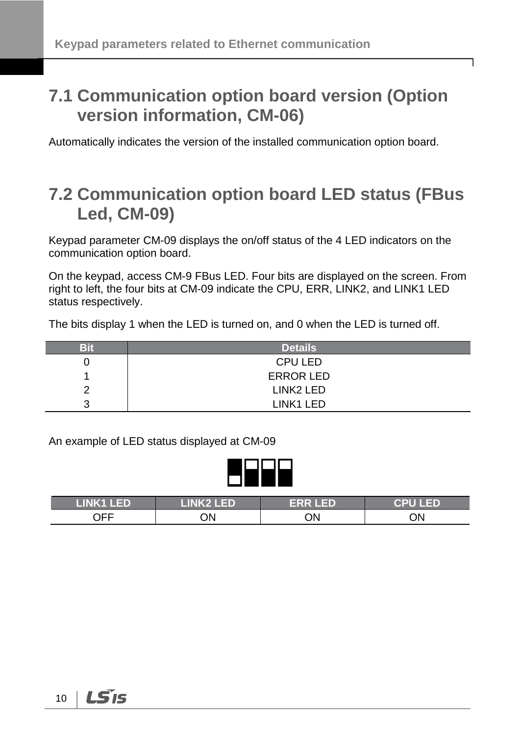## <span id="page-13-0"></span>**7.1 Communication option board version (Option version information, CM-06)**

<span id="page-13-1"></span>Automatically indicates the version of the installed communication option board.

### **7.2 Communication option board LED status (FBus Led, CM-09)**

Keypad parameter CM-09 displays the on/off status of the 4 LED indicators on the communication option board.

On the keypad, access CM-9 FBus LED. Four bits are displayed on the screen. From right to left, the four bits at CM-09 indicate the CPU, ERR, LINK2, and LINK1 LED status respectively.

The bits display 1 when the LED is turned on, and 0 when the LED is turned off.

| Bit    | <b>Details</b>        |
|--------|-----------------------|
|        | <b>CPU LED</b>        |
|        | <b>ERROR LED</b>      |
| Ω      | LINK <sub>2</sub> LED |
| ົ<br>w | LINK1 LED             |

An example of LED status displayed at CM-09

| LINK1 LED' | <b>LINK2 LED</b> | <b>ERR LED</b> | <b>CPU LED</b> |
|------------|------------------|----------------|----------------|
| OFF        | ЮC               | ЭN             | ON             |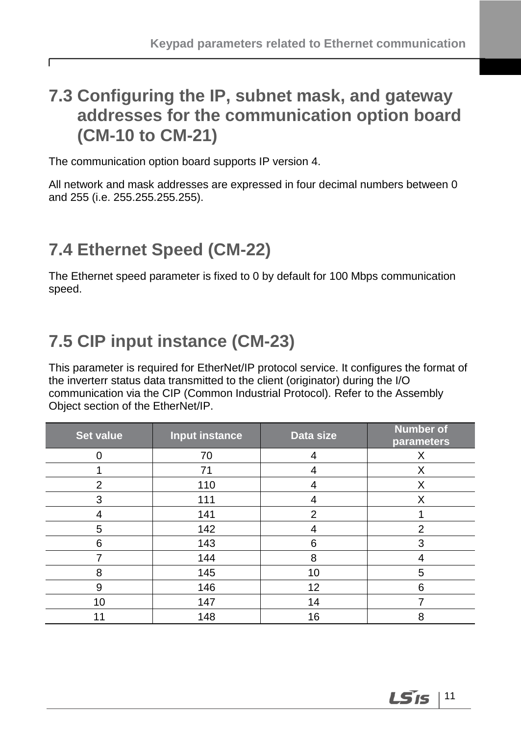## <span id="page-14-0"></span>**7.3 Configuring the IP, subnet mask, and gateway addresses for the communication option board (CM-10 to CM-21)**

The communication option board supports IP version 4.

All network and mask addresses are expressed in four decimal numbers between 0 and 255 (i.e. 255.255.255.255).

## <span id="page-14-1"></span>**7.4 Ethernet Speed (CM-22)**

 $\Gamma$ 

The Ethernet speed parameter is fixed to 0 by default for 100 Mbps communication speed.

# <span id="page-14-2"></span>**7.5 CIP input instance (CM-23)**

This parameter is required for EtherNet/IP protocol service. It configures the format of the inverterr status data transmitted to the client (originator) during the I/O communication via the CIP (Common Industrial Protocol). Refer to the Assembly Object section of the EtherNet/IP.

| <b>Set value</b> | <b>Input instance</b> | Data size | <b>Number of</b><br>parameters |
|------------------|-----------------------|-----------|--------------------------------|
|                  | 70                    | 4         | X                              |
|                  | 71                    | 4         | X                              |
| $\overline{2}$   | 110                   | 4         | X                              |
| 3                | 111                   | 4         | X                              |
| 4                | 141                   | 2         |                                |
| 5                | 142                   | 4         | 2                              |
| 6                | 143                   | 6         | 3                              |
|                  | 144                   | 8         | 4                              |
| 8                | 145                   | 10        | 5                              |
| 9                | 146                   | 12        | 6                              |
| 10               | 147                   | 14        |                                |
| 11               | 148                   | 16        | 8                              |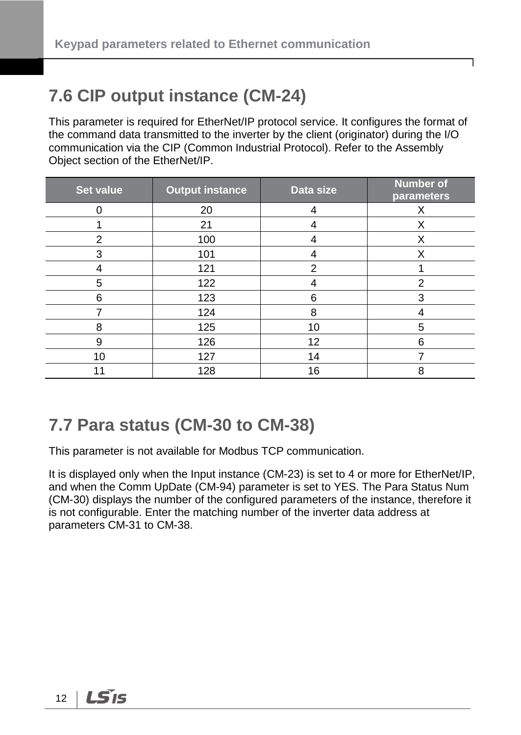## <span id="page-15-0"></span>**7.6 CIP output instance (CM-24)**

This parameter is required for EtherNet/IP protocol service. It configures the format of the command data transmitted to the inverter by the client (originator) during the I/O communication via the CIP (Common Industrial Protocol). Refer to the Assembly Object section of the EtherNet/IP.

| <b>Set value</b> | <b>Output instance</b> | Data size      | <b>Number of</b><br>parameters |
|------------------|------------------------|----------------|--------------------------------|
|                  | 20                     | 4              | X                              |
|                  | 21                     | 4              | X                              |
| $\overline{2}$   | 100                    | 4              | Х                              |
| 3                | 101                    | 4              | X                              |
| 4                | 121                    | $\overline{2}$ |                                |
| 5                | 122                    | 4              | $\overline{2}$                 |
| 6                | 123                    | 6              | 3                              |
|                  | 124                    | 8              | 4                              |
| 8                | 125                    | 10             | 5                              |
| 9                | 126                    | 12             | 6                              |
| 10               | 127                    | 14             |                                |
| 11               | 128                    | 16             | 8                              |

## <span id="page-15-1"></span>**7.7 Para status (CM-30 to CM-38)**

This parameter is not available for Modbus TCP communication.

It is displayed only when the Input instance (CM-23) is set to 4 or more for EtherNet/IP, and when the Comm UpDate (CM-94) parameter is set to YES. The Para Status Num (CM-30) displays the number of the configured parameters of the instance, therefore it is not configurable. Enter the matching number of the inverter data address at parameters CM-31 to CM-38.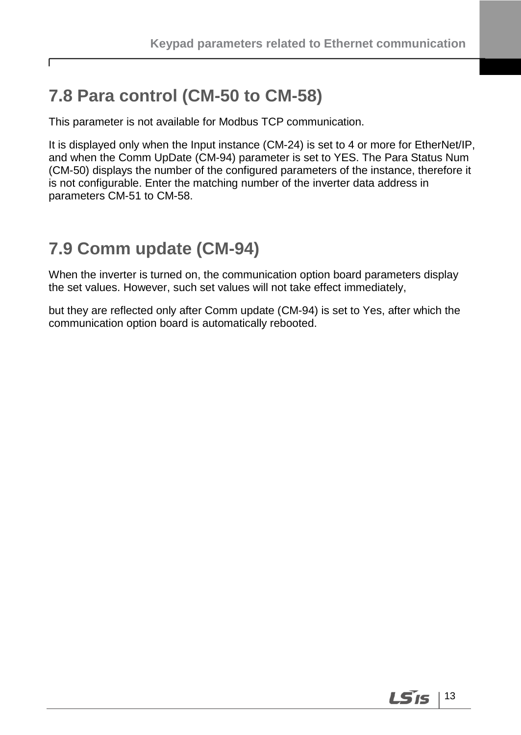## <span id="page-16-0"></span>**7.8 Para control (CM-50 to CM-58)**

٢

This parameter is not available for Modbus TCP communication.

It is displayed only when the Input instance (CM-24) is set to 4 or more for EtherNet/IP, and when the Comm UpDate (CM-94) parameter is set to YES. The Para Status Num (CM-50) displays the number of the configured parameters of the instance, therefore it is not configurable. Enter the matching number of the inverter data address in parameters CM-51 to CM-58.

## <span id="page-16-1"></span>**7.9 Comm update (CM-94)**

When the inverter is turned on, the communication option board parameters display the set values. However, such set values will not take effect immediately,

but they are reflected only after Comm update (CM-94) is set to Yes, after which the communication option board is automatically rebooted.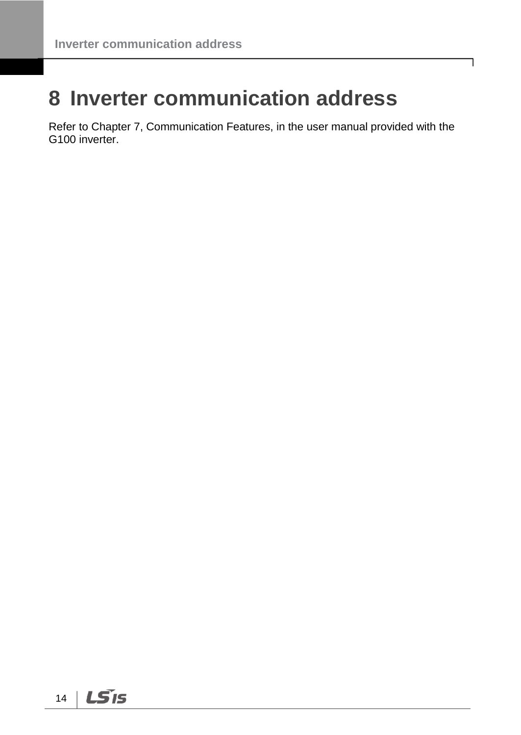# <span id="page-17-0"></span>**8 Inverter communication address**

Refer to Chapter 7, Communication Features, in the user manual provided with the G100 inverter.

٦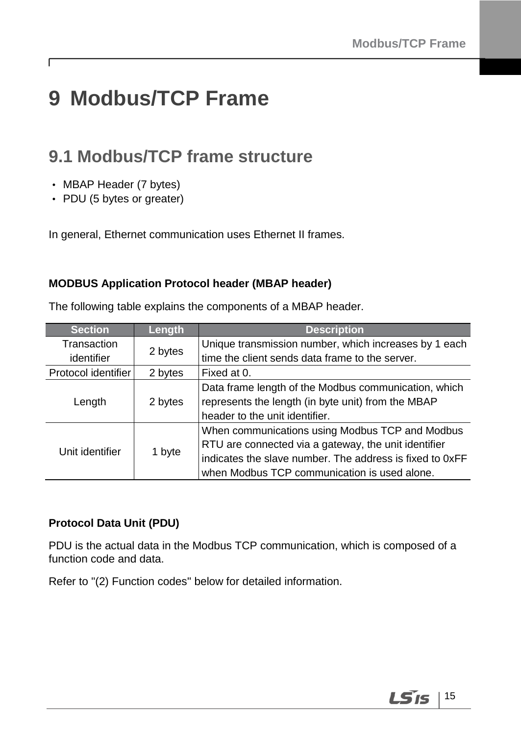# <span id="page-18-0"></span>**9 Modbus/TCP Frame**

## <span id="page-18-1"></span>**9.1 Modbus/TCP frame structure**

• MBAP Header (7 bytes)

Г

• PDU (5 bytes or greater)

In general, Ethernet communication uses Ethernet II frames.

#### **MODBUS Application Protocol header (MBAP header)**

The following table explains the components of a MBAP header.

| <b>Section</b>      | Length  | <b>Description</b>                                       |  |  |  |
|---------------------|---------|----------------------------------------------------------|--|--|--|
| Transaction         |         | Unique transmission number, which increases by 1 each    |  |  |  |
| identifier          | 2 bytes | time the client sends data frame to the server.          |  |  |  |
| Protocol identifier | 2 bytes | Fixed at 0.                                              |  |  |  |
|                     |         | Data frame length of the Modbus communication, which     |  |  |  |
| Length              | 2 bytes | represents the length (in byte unit) from the MBAP       |  |  |  |
|                     |         | header to the unit identifier.                           |  |  |  |
|                     |         | When communications using Modbus TCP and Modbus          |  |  |  |
| Unit identifier     | 1 byte  | RTU are connected via a gateway, the unit identifier     |  |  |  |
|                     |         | indicates the slave number. The address is fixed to 0xFF |  |  |  |
|                     |         | when Modbus TCP communication is used alone.             |  |  |  |

#### **Protocol Data Unit (PDU)**

PDU is the actual data in the Modbus TCP communication, which is composed of a function code and data.

Refer to "(2) Function codes" below for detailed information.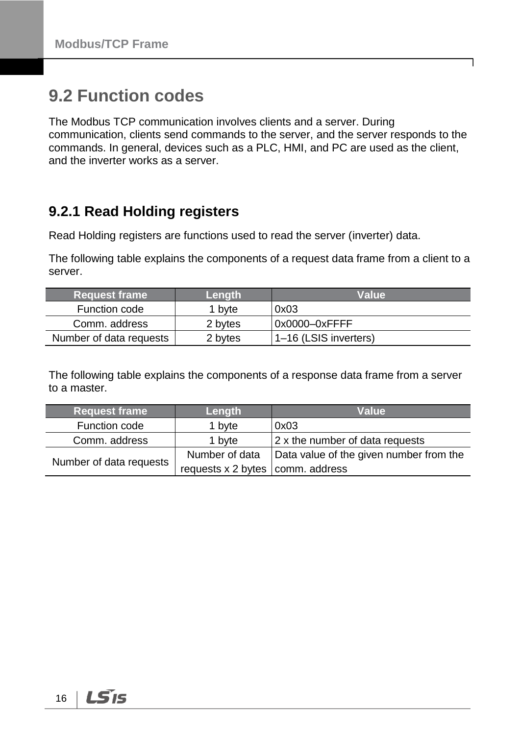## <span id="page-19-0"></span>**9.2 Function codes**

The Modbus TCP communication involves clients and a server. During communication, clients send commands to the server, and the server responds to the commands. In general, devices such as a PLC, HMI, and PC are used as the client, and the inverter works as a server.

### <span id="page-19-1"></span>**9.2.1 Read Holding registers**

Read Holding registers are functions used to read the server (inverter) data.

The following table explains the components of a request data frame from a client to a server.

| Request frame           | Length  | <b>Value</b>          |
|-------------------------|---------|-----------------------|
| Function code           | 1 byte  | 0x03                  |
| Comm. address           | 2 bytes | 0x0000-0xFFFF         |
| Number of data requests | 2 bytes | 1-16 (LSIS inverters) |

The following table explains the components of a response data frame from a server to a master.

| <b>Request frame</b>    | Length                                | <b>Value</b>                            |  |  |
|-------------------------|---------------------------------------|-----------------------------------------|--|--|
| Function code           | 1 byte                                | 0x03                                    |  |  |
| Comm. address           | 1 byte                                | $ 2 \times$ the number of data requests |  |  |
|                         | Number of data                        | Data value of the given number from the |  |  |
| Number of data requests | requests $x$ 2 bytes $ comm.$ address |                                         |  |  |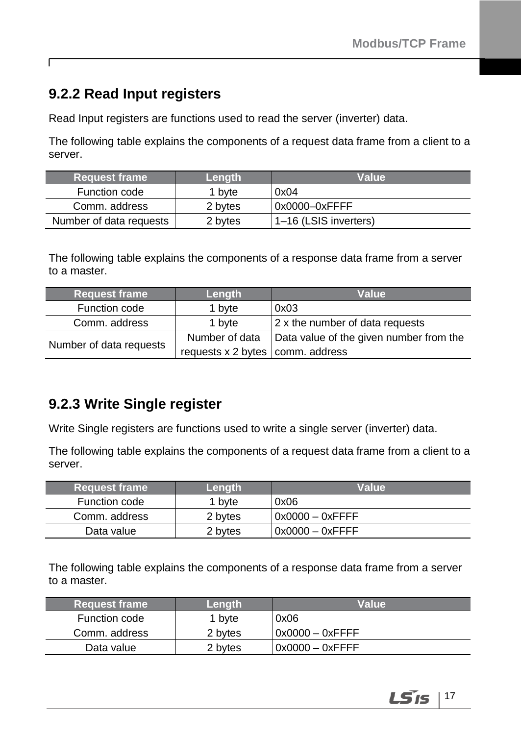### <span id="page-20-0"></span>**9.2.2 Read Input registers**

ſ

Read Input registers are functions used to read the server (inverter) data.

The following table explains the components of a request data frame from a client to a server.

| <b>Request frame</b>    | Lenath  | Value                 |
|-------------------------|---------|-----------------------|
| Function code           | 1 bvte  | 0x04                  |
| Comm. address           | 2 bytes | 0x0000-0xFFFF         |
| Number of data requests | 2 bytes | 1-16 (LSIS inverters) |

The following table explains the components of a response data frame from a server to a master.

| <b>Request frame</b>    | Length                                | Value                                   |  |  |
|-------------------------|---------------------------------------|-----------------------------------------|--|--|
| Function code           | 1 byte                                | 0x03                                    |  |  |
| Comm. address           | 1 byte                                | $ 2 \times$ the number of data requests |  |  |
|                         | Number of data                        | Data value of the given number from the |  |  |
| Number of data requests | requests $x$ 2 bytes $ comm.$ address |                                         |  |  |

### <span id="page-20-1"></span>**9.2.3 Write Single register**

Write Single registers are functions used to write a single server (inverter) data.

The following table explains the components of a request data frame from a client to a server.

| ∣Request frame <sup>∣</sup> | Length  | Value            |  |  |
|-----------------------------|---------|------------------|--|--|
| Function code               | 1 bvte  | 0x06             |  |  |
| Comm. address               | 2 bytes | 10x0000 - 0xFFFF |  |  |
| Data value                  | 2 bytes | I0x0000 – 0xFFFF |  |  |

The following table explains the components of a response data frame from a server to a master.

| <b>Request frame</b> | <b>Lenath</b> ' | Value              |  |  |
|----------------------|-----------------|--------------------|--|--|
| Function code        | 1 byte          | 0x06               |  |  |
| Comm. address        | 2 bytes         | $0x0000 - 0x$ FFFF |  |  |
| Data value           | 2 bytes         | $0x0000 - 0x$ FFFF |  |  |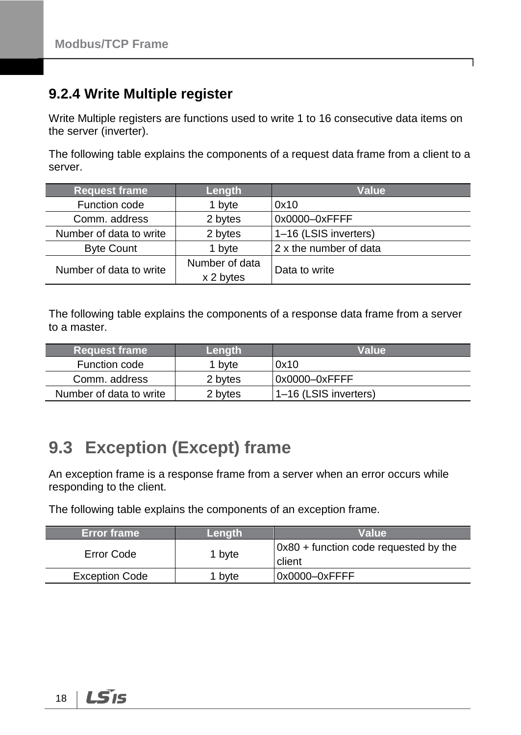### <span id="page-21-0"></span>**9.2.4 Write Multiple register**

Write Multiple registers are functions used to write 1 to 16 consecutive data items on the server (inverter).

The following table explains the components of a request data frame from a client to a server.

| <b>Request frame</b>    | Length                      | Value                  |  |  |
|-------------------------|-----------------------------|------------------------|--|--|
| Function code           | 1 byte                      | 0x10                   |  |  |
| Comm. address           | 2 bytes                     | 0x0000-0xFFFF          |  |  |
| Number of data to write | 2 bytes                     | 1-16 (LSIS inverters)  |  |  |
| <b>Byte Count</b>       | 1 byte                      | 2 x the number of data |  |  |
| Number of data to write | Number of data<br>x 2 bytes | Data to write          |  |  |

The following table explains the components of a response data frame from a server to a master.

| <b>Request frame</b>    | Lenath  | Value                 |  |  |
|-------------------------|---------|-----------------------|--|--|
| Function code           | 1 byte  | 0x10                  |  |  |
| Comm. address           | 2 bytes | l0x0000–0xFFFF        |  |  |
| Number of data to write | 2 bytes | 1-16 (LSIS inverters) |  |  |

## <span id="page-21-1"></span>**9.3 Exception (Except) frame**

An exception frame is a response frame from a server when an error occurs while responding to the client.

The following table explains the components of an exception frame.

| <b>Error frame</b>    | Length | <b>Value</b>                                            |  |  |
|-----------------------|--------|---------------------------------------------------------|--|--|
| Error Code            | 1 byte | $\vert$ 0x80 + function code requested by the<br>client |  |  |
| <b>Exception Code</b> | 1 bvte | 0x0000-0xFFFF                                           |  |  |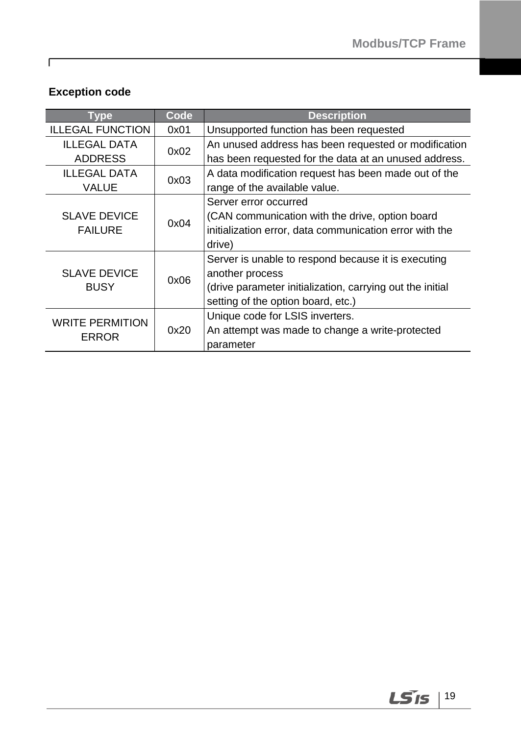### **Exception code**

 $\Gamma$ 

| Tvpe                    | Code | <b>Description</b>                                        |  |  |  |
|-------------------------|------|-----------------------------------------------------------|--|--|--|
| <b>ILLEGAL FUNCTION</b> | 0x01 | Unsupported function has been requested                   |  |  |  |
| <b>ILLEGAL DATA</b>     | 0x02 | An unused address has been requested or modification      |  |  |  |
| <b>ADDRESS</b>          |      | has been requested for the data at an unused address.     |  |  |  |
| <b>ILLEGAL DATA</b>     | 0x03 | A data modification request has been made out of the      |  |  |  |
| VALUE                   |      | range of the available value.                             |  |  |  |
|                         |      | Server error occurred                                     |  |  |  |
| <b>SLAVE DEVICE</b>     | 0x04 | (CAN communication with the drive, option board           |  |  |  |
| <b>FAILURE</b>          |      | initialization error, data communication error with the   |  |  |  |
|                         |      | drive)                                                    |  |  |  |
|                         |      | Server is unable to respond because it is executing       |  |  |  |
| <b>SLAVE DEVICE</b>     | 0x06 | another process                                           |  |  |  |
| <b>BUSY</b>             |      | (drive parameter initialization, carrying out the initial |  |  |  |
|                         |      | setting of the option board, etc.)                        |  |  |  |
| <b>WRITE PERMITION</b>  |      | Unique code for LSIS inverters.                           |  |  |  |
| ERROR                   | 0x20 | An attempt was made to change a write-protected           |  |  |  |
|                         |      | parameter                                                 |  |  |  |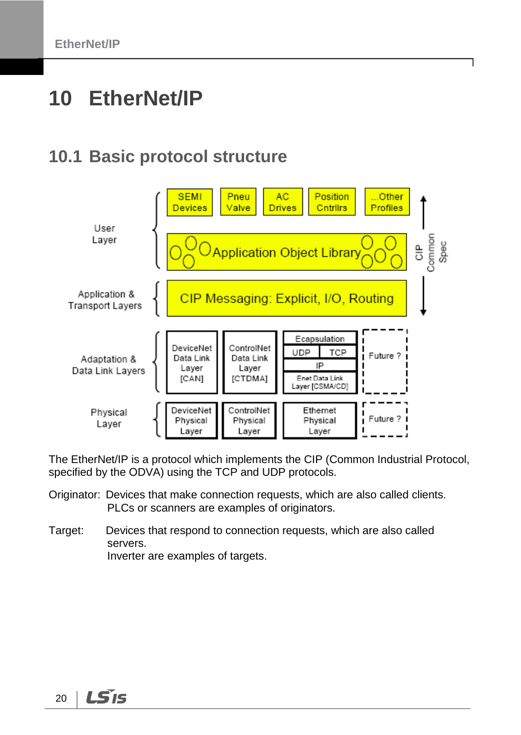# <span id="page-23-0"></span>**10 EtherNet/IP**

### <span id="page-23-1"></span>**10.1 Basic protocol structure**



The EtherNet/IP is a protocol which implements the CIP (Common Industrial Protocol, specified by the ODVA) using the TCP and UDP protocols.

- Originator: Devices that make connection requests, which are also called clients. PLCs or scanners are examples of originators.
- Target: Devices that respond to connection requests, which are also called servers. Inverter are examples of targets.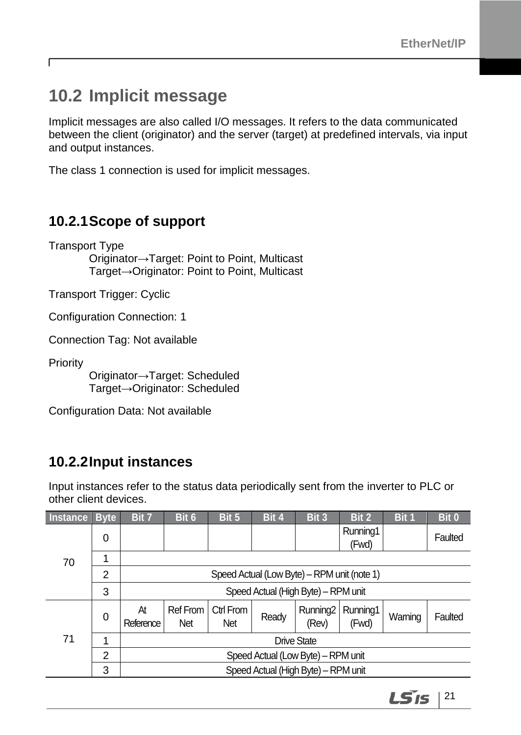## <span id="page-24-0"></span>**10.2 Implicit message**

Implicit messages are also called I/O messages. It refers to the data communicated between the client (originator) and the server (target) at predefined intervals, via input and output instances.

<span id="page-24-1"></span>The class 1 connection is used for implicit messages.

### **10.2.1Scope of support**

Transport Type Originator→Target: Point to Point, Multicast Target→Originator: Point to Point, Multicast

Transport Trigger: Cyclic

Configuration Connection: 1

Connection Tag: Not available

**Priority** 

٢

Originator→Target: Scheduled Target→Originator: Scheduled

<span id="page-24-2"></span>Configuration Data: Not available

### **10.2.2Input instances**

Input instances refer to the status data periodically sent from the inverter to PLC or other client devices.

| <b>Instance</b> | <b>Byte</b> | Bit 7                              | Bit 6                                       | Bit 5            | Bit 4 | Bit 3                         | Bit 2             | Bit 1   | Bit 0   |  |
|-----------------|-------------|------------------------------------|---------------------------------------------|------------------|-------|-------------------------------|-------------------|---------|---------|--|
|                 | 0           |                                    |                                             |                  |       |                               | Running1<br>(Fwd) |         | Faulted |  |
| 70              | 1           |                                    |                                             |                  |       |                               |                   |         |         |  |
|                 | 2           |                                    | Speed Actual (Low Byte) – RPM unit (note 1) |                  |       |                               |                   |         |         |  |
|                 | 3           |                                    | Speed Actual (High Byte) - RPM unit         |                  |       |                               |                   |         |         |  |
| 71              | 0           | At<br>Reference                    | <b>Ref From</b><br>Net                      | Ctrl From<br>Net | Ready | Running <sub>2</sub><br>(Rev) | Running1<br>(Fwd) | Warning | Faulted |  |
|                 | 1           | Drive State                        |                                             |                  |       |                               |                   |         |         |  |
|                 | 2           | Speed Actual (Low Byte) - RPM unit |                                             |                  |       |                               |                   |         |         |  |
|                 | 3           |                                    | Speed Actual (High Byte) - RPM unit         |                  |       |                               |                   |         |         |  |

LS'is 21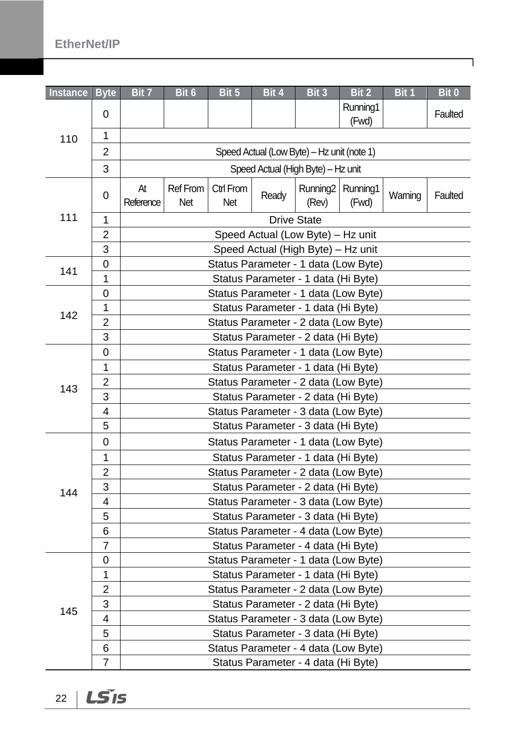### **EtherNet/IP**

| <b>Instance</b> | <b>Byte</b>    | Bit 7           | Bit 6                                | Bit 5                                | Bit 4                                      | Bit 3                         | Bit 2                                | Bit 1   | Bit 0   |  |  |  |
|-----------------|----------------|-----------------|--------------------------------------|--------------------------------------|--------------------------------------------|-------------------------------|--------------------------------------|---------|---------|--|--|--|
|                 | 0              |                 |                                      |                                      |                                            |                               | Running1<br>(Fwd)                    |         | Faulted |  |  |  |
| 110             | 1              |                 |                                      |                                      |                                            |                               |                                      |         |         |  |  |  |
|                 | $\overline{2}$ |                 |                                      |                                      | Speed Actual (Low Byte) - Hz unit (note 1) |                               |                                      |         |         |  |  |  |
|                 | 3              |                 |                                      |                                      | Speed Actual (High Byte) - Hz unit         |                               |                                      |         |         |  |  |  |
|                 | 0              | At<br>Reference | Ref From<br>Net                      | Ctrl From<br><b>Net</b>              | Ready                                      | Running <sub>2</sub><br>(Rev) | Running1<br>(Fwd)                    | Warning | Faulted |  |  |  |
| 111             | 1              |                 |                                      |                                      |                                            | <b>Drive State</b>            |                                      |         |         |  |  |  |
|                 | $\overline{2}$ |                 | Speed Actual (Low Byte) - Hz unit    |                                      |                                            |                               |                                      |         |         |  |  |  |
|                 | 3              |                 | Speed Actual (High Byte) - Hz unit   |                                      |                                            |                               |                                      |         |         |  |  |  |
| 141             | 0              |                 |                                      |                                      |                                            |                               | Status Parameter - 1 data (Low Byte) |         |         |  |  |  |
|                 | 1              |                 |                                      |                                      | Status Parameter - 1 data (Hi Byte)        |                               |                                      |         |         |  |  |  |
|                 | $\mathbf 0$    |                 |                                      |                                      |                                            |                               | Status Parameter - 1 data (Low Byte) |         |         |  |  |  |
| 142             | 1              |                 |                                      |                                      | Status Parameter - 1 data (Hi Byte)        |                               |                                      |         |         |  |  |  |
|                 | $\overline{2}$ |                 |                                      |                                      |                                            |                               | Status Parameter - 2 data (Low Byte) |         |         |  |  |  |
|                 | 3              |                 | Status Parameter - 2 data (Hi Byte)  |                                      |                                            |                               |                                      |         |         |  |  |  |
|                 | 0              |                 |                                      |                                      |                                            |                               | Status Parameter - 1 data (Low Byte) |         |         |  |  |  |
|                 | 1              |                 |                                      |                                      | Status Parameter - 1 data (Hi Byte)        |                               |                                      |         |         |  |  |  |
| 143             | $\overline{2}$ |                 |                                      |                                      |                                            |                               | Status Parameter - 2 data (Low Byte) |         |         |  |  |  |
|                 | 3              |                 |                                      |                                      | Status Parameter - 2 data (Hi Byte)        |                               |                                      |         |         |  |  |  |
|                 | 4              |                 | Status Parameter - 3 data (Low Byte) |                                      |                                            |                               |                                      |         |         |  |  |  |
|                 | 5              |                 |                                      |                                      | Status Parameter - 3 data (Hi Byte)        |                               |                                      |         |         |  |  |  |
|                 | $\mathbf 0$    |                 |                                      |                                      |                                            |                               | Status Parameter - 1 data (Low Byte) |         |         |  |  |  |
|                 | 1              |                 |                                      |                                      | Status Parameter - 1 data (Hi Byte)        |                               |                                      |         |         |  |  |  |
|                 | $\overline{2}$ |                 |                                      |                                      |                                            |                               | Status Parameter - 2 data (Low Byte) |         |         |  |  |  |
| 144             | 3              |                 |                                      |                                      | Status Parameter - 2 data (Hi Byte)        |                               |                                      |         |         |  |  |  |
|                 | 4              |                 |                                      |                                      |                                            |                               | Status Parameter - 3 data (Low Byte) |         |         |  |  |  |
|                 | 5              |                 |                                      |                                      | Status Parameter - 3 data (Hi Byte)        |                               |                                      |         |         |  |  |  |
|                 | 6              |                 |                                      | Status Parameter - 4 data (Low Byte) |                                            |                               |                                      |         |         |  |  |  |
|                 | 7              |                 | Status Parameter - 4 data (Hi Byte)  |                                      |                                            |                               |                                      |         |         |  |  |  |
|                 | 0              |                 |                                      |                                      |                                            |                               | Status Parameter - 1 data (Low Byte) |         |         |  |  |  |
|                 | 1              |                 |                                      |                                      | Status Parameter - 1 data (Hi Byte)        |                               |                                      |         |         |  |  |  |
|                 | $\overline{2}$ |                 |                                      |                                      |                                            |                               | Status Parameter - 2 data (Low Byte) |         |         |  |  |  |
|                 | 3              |                 |                                      |                                      | Status Parameter - 2 data (Hi Byte)        |                               |                                      |         |         |  |  |  |
| 145             | 4              |                 |                                      |                                      |                                            |                               | Status Parameter - 3 data (Low Byte) |         |         |  |  |  |
|                 | 5              |                 |                                      |                                      | Status Parameter - 3 data (Hi Byte)        |                               |                                      |         |         |  |  |  |
|                 | 6              |                 |                                      |                                      |                                            |                               | Status Parameter - 4 data (Low Byte) |         |         |  |  |  |
|                 | $\overline{7}$ |                 |                                      |                                      | Status Parameter - 4 data (Hi Byte)        |                               |                                      |         |         |  |  |  |

 $22 \mid \overline{\text{LST}}$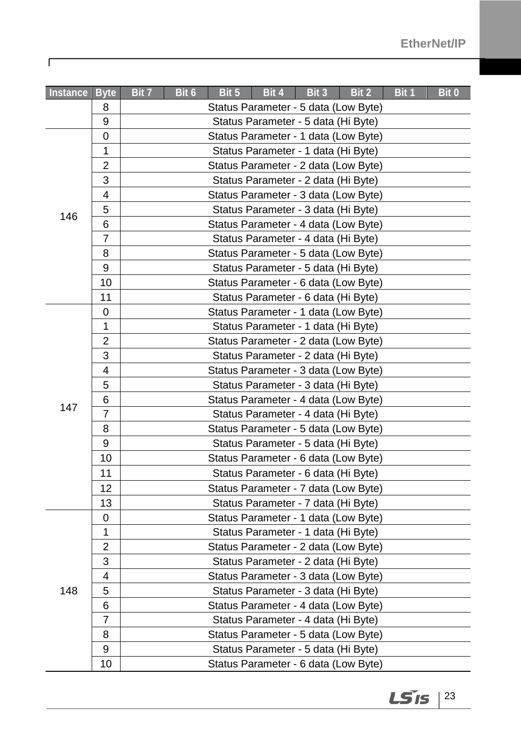| <b>Instance</b> | <b>Byte</b>    | Bit 7 | Bit 6 | Bit 5 | Bit 4                                | Bit 3 | Bit 2 | Bit 1 | <b>Bit 0</b> |
|-----------------|----------------|-------|-------|-------|--------------------------------------|-------|-------|-------|--------------|
|                 | 8              |       |       |       | Status Parameter - 5 data (Low Byte) |       |       |       |              |
|                 | 9              |       |       |       | Status Parameter - 5 data (Hi Byte)  |       |       |       |              |
|                 | $\mathbf 0$    |       |       |       | Status Parameter - 1 data (Low Byte) |       |       |       |              |
|                 | 1              |       |       |       | Status Parameter - 1 data (Hi Byte)  |       |       |       |              |
|                 | $\overline{2}$ |       |       |       | Status Parameter - 2 data (Low Byte) |       |       |       |              |
|                 | 3              |       |       |       | Status Parameter - 2 data (Hi Byte)  |       |       |       |              |
|                 | 4              |       |       |       | Status Parameter - 3 data (Low Byte) |       |       |       |              |
| 146             | 5              |       |       |       | Status Parameter - 3 data (Hi Byte)  |       |       |       |              |
|                 | 6              |       |       |       | Status Parameter - 4 data (Low Byte) |       |       |       |              |
|                 | $\overline{7}$ |       |       |       | Status Parameter - 4 data (Hi Byte)  |       |       |       |              |
|                 | 8              |       |       |       | Status Parameter - 5 data (Low Byte) |       |       |       |              |
|                 | 9              |       |       |       | Status Parameter - 5 data (Hi Byte)  |       |       |       |              |
|                 | 10             |       |       |       | Status Parameter - 6 data (Low Byte) |       |       |       |              |
|                 | 11             |       |       |       | Status Parameter - 6 data (Hi Byte)  |       |       |       |              |
|                 | 0              |       |       |       | Status Parameter - 1 data (Low Byte) |       |       |       |              |
|                 | $\mathbf{1}$   |       |       |       | Status Parameter - 1 data (Hi Byte)  |       |       |       |              |
|                 | $\overline{2}$ |       |       |       | Status Parameter - 2 data (Low Byte) |       |       |       |              |
|                 | 3              |       |       |       | Status Parameter - 2 data (Hi Byte)  |       |       |       |              |
|                 | $\overline{4}$ |       |       |       | Status Parameter - 3 data (Low Byte) |       |       |       |              |
|                 | 5              |       |       |       | Status Parameter - 3 data (Hi Byte)  |       |       |       |              |
|                 | 6              |       |       |       | Status Parameter - 4 data (Low Byte) |       |       |       |              |
| 147             | $\overline{7}$ |       |       |       | Status Parameter - 4 data (Hi Byte)  |       |       |       |              |
|                 | 8              |       |       |       | Status Parameter - 5 data (Low Byte) |       |       |       |              |
|                 | 9              |       |       |       | Status Parameter - 5 data (Hi Byte)  |       |       |       |              |
|                 | 10             |       |       |       | Status Parameter - 6 data (Low Byte) |       |       |       |              |
|                 | 11             |       |       |       | Status Parameter - 6 data (Hi Byte)  |       |       |       |              |
|                 | 12             |       |       |       | Status Parameter - 7 data (Low Byte) |       |       |       |              |
|                 | 13             |       |       |       | Status Parameter - 7 data (Hi Byte)  |       |       |       |              |
|                 | $\mathbf 0$    |       |       |       | Status Parameter - 1 data (Low Byte) |       |       |       |              |
|                 | 1              |       |       |       | Status Parameter - 1 data (Hi Byte)  |       |       |       |              |
|                 | 2              |       |       |       | Status Parameter - 2 data (Low Byte) |       |       |       |              |
|                 | 3              |       |       |       | Status Parameter - 2 data (Hi Byte)  |       |       |       |              |
|                 | 4              |       |       |       | Status Parameter - 3 data (Low Byte) |       |       |       |              |
| 148             | 5              |       |       |       | Status Parameter - 3 data (Hi Byte)  |       |       |       |              |
|                 | 6              |       |       |       | Status Parameter - 4 data (Low Byte) |       |       |       |              |
|                 | $\overline{7}$ |       |       |       | Status Parameter - 4 data (Hi Byte)  |       |       |       |              |
|                 | 8              |       |       |       | Status Parameter - 5 data (Low Byte) |       |       |       |              |
|                 | 9              |       |       |       | Status Parameter - 5 data (Hi Byte)  |       |       |       |              |
|                 | 10             |       |       |       | Status Parameter - 6 data (Low Byte) |       |       |       |              |

 $\Gamma$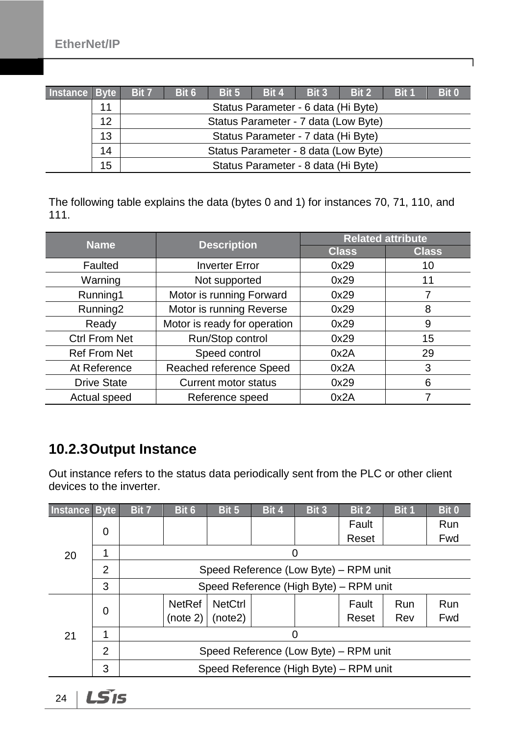| Instance Byte |    | Bit 7 | Bit 6                                | Bit 5 | Bit 4 | Bit 3                               | Bit 2 | Bit 1 | Bit 0 |
|---------------|----|-------|--------------------------------------|-------|-------|-------------------------------------|-------|-------|-------|
|               | 11 |       | Status Parameter - 6 data (Hi Byte)  |       |       |                                     |       |       |       |
|               | 12 |       | Status Parameter - 7 data (Low Byte) |       |       |                                     |       |       |       |
|               | 13 |       | Status Parameter - 7 data (Hi Byte)  |       |       |                                     |       |       |       |
|               | 14 |       | Status Parameter - 8 data (Low Byte) |       |       |                                     |       |       |       |
|               | 15 |       |                                      |       |       | Status Parameter - 8 data (Hi Byte) |       |       |       |

ן

The following table explains the data (bytes 0 and 1) for instances 70, 71, 110, and 111.

| <b>Name</b>          | <b>Description</b>           | <b>Related attribute</b> |              |  |  |
|----------------------|------------------------------|--------------------------|--------------|--|--|
|                      |                              | <b>Class</b>             | <b>Class</b> |  |  |
| Faulted              | <b>Inverter Error</b>        | 0x29                     | 10           |  |  |
| Warning              | Not supported                | 0x29                     | 11           |  |  |
| Running1             | Motor is running Forward     | 0x29                     |              |  |  |
| Running <sub>2</sub> | Motor is running Reverse     | 0x29                     | 8            |  |  |
| Ready                | Motor is ready for operation | 0x29                     | 9            |  |  |
| <b>Ctrl From Net</b> | Run/Stop control             | 0x29                     | 15           |  |  |
| <b>Ref From Net</b>  | Speed control                | 0x2A                     | 29           |  |  |
| At Reference         | Reached reference Speed      | 0x2A                     | 3            |  |  |
| <b>Drive State</b>   | <b>Current motor status</b>  | 0x29                     | 6            |  |  |
| Actual speed         | Reference speed              | 0x2A                     |              |  |  |

### <span id="page-27-0"></span>**10.2.3Output Instance**

Out instance refers to the status data periodically sent from the PLC or other client devices to the inverter.

| Instance Byte |   | Bit 7                                  | Bit 6                                  | Bit 5          | Bit 4 | Bit 3 | Bit 2 | Bit 1      | Bit 0 |  |  |
|---------------|---|----------------------------------------|----------------------------------------|----------------|-------|-------|-------|------------|-------|--|--|
| 20            | 0 |                                        |                                        |                |       |       | Fault |            | Run   |  |  |
|               |   |                                        |                                        |                |       |       | Reset |            | Fwd   |  |  |
|               |   |                                        |                                        |                |       |       |       |            |       |  |  |
|               | 2 |                                        | Speed Reference (Low Byte) - RPM unit  |                |       |       |       |            |       |  |  |
|               | 3 |                                        | Speed Reference (High Byte) - RPM unit |                |       |       |       |            |       |  |  |
|               |   |                                        | <b>NetRef</b>                          | <b>NetCtrl</b> |       |       | Fault | <b>Run</b> | Run   |  |  |
|               | 0 |                                        | (note 2)                               | (note2)        |       |       | Reset | Rev        | Fwd   |  |  |
| 21            | 1 |                                        |                                        |                |       |       |       |            |       |  |  |
|               | 2 | Speed Reference (Low Byte) – RPM unit  |                                        |                |       |       |       |            |       |  |  |
|               | 3 | Speed Reference (High Byte) - RPM unit |                                        |                |       |       |       |            |       |  |  |
|               |   |                                        |                                        |                |       |       |       |            |       |  |  |

 $LS$ 24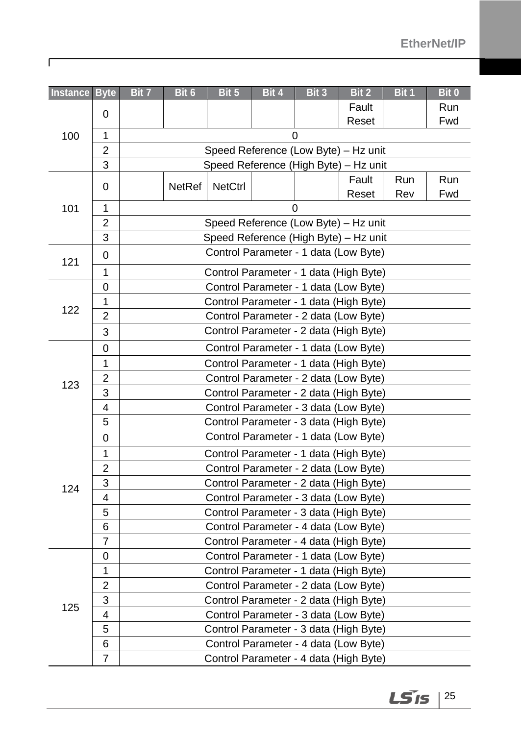| Instance Byte |                | Bit 7                                                                         | Bit 6                                  | Bit 5          | Bit 4                                  | Bit 3 | Bit 2 | Bit 1 | Bit 0 |  |  |  |
|---------------|----------------|-------------------------------------------------------------------------------|----------------------------------------|----------------|----------------------------------------|-------|-------|-------|-------|--|--|--|
|               | 0              |                                                                               |                                        |                |                                        |       | Fault |       | Run   |  |  |  |
|               |                |                                                                               |                                        |                |                                        |       | Reset |       | Fwd   |  |  |  |
| 100           | $\mathbf{1}$   | 0                                                                             |                                        |                |                                        |       |       |       |       |  |  |  |
|               | $\overline{2}$ | Speed Reference (Low Byte) - Hz unit                                          |                                        |                |                                        |       |       |       |       |  |  |  |
|               | 3              |                                                                               |                                        |                | Speed Reference (High Byte) - Hz unit  |       |       |       |       |  |  |  |
|               | 0              |                                                                               | NetRef                                 | <b>NetCtrl</b> |                                        |       | Fault | Run   | Run   |  |  |  |
|               |                |                                                                               |                                        |                |                                        |       | Reset | Rev   | Fwd   |  |  |  |
| 101           | $\mathbf 1$    |                                                                               |                                        |                |                                        | 0     |       |       |       |  |  |  |
|               | $\overline{2}$ | Speed Reference (Low Byte) - Hz unit<br>Speed Reference (High Byte) - Hz unit |                                        |                |                                        |       |       |       |       |  |  |  |
|               | 3              |                                                                               |                                        |                |                                        |       |       |       |       |  |  |  |
| 121           | 0              |                                                                               |                                        |                | Control Parameter - 1 data (Low Byte)  |       |       |       |       |  |  |  |
|               | 1              |                                                                               |                                        |                | Control Parameter - 1 data (High Byte) |       |       |       |       |  |  |  |
|               | 0              |                                                                               |                                        |                | Control Parameter - 1 data (Low Byte)  |       |       |       |       |  |  |  |
|               | $\mathbf{1}$   |                                                                               |                                        |                | Control Parameter - 1 data (High Byte) |       |       |       |       |  |  |  |
| 122           | $\overline{2}$ |                                                                               |                                        |                | Control Parameter - 2 data (Low Byte)  |       |       |       |       |  |  |  |
|               | 3              |                                                                               |                                        |                | Control Parameter - 2 data (High Byte) |       |       |       |       |  |  |  |
|               | 0              |                                                                               | Control Parameter - 1 data (Low Byte)  |                |                                        |       |       |       |       |  |  |  |
|               | $\mathbf 1$    |                                                                               |                                        |                | Control Parameter - 1 data (High Byte) |       |       |       |       |  |  |  |
| 123           | $\overline{c}$ |                                                                               | Control Parameter - 2 data (Low Byte)  |                |                                        |       |       |       |       |  |  |  |
|               | 3              |                                                                               | Control Parameter - 2 data (High Byte) |                |                                        |       |       |       |       |  |  |  |
|               | 4              | Control Parameter - 3 data (Low Byte)                                         |                                        |                |                                        |       |       |       |       |  |  |  |
|               | 5              |                                                                               |                                        |                | Control Parameter - 3 data (High Byte) |       |       |       |       |  |  |  |
|               | 0              |                                                                               |                                        |                | Control Parameter - 1 data (Low Byte)  |       |       |       |       |  |  |  |
|               | 1              |                                                                               |                                        |                | Control Parameter - 1 data (High Byte) |       |       |       |       |  |  |  |
|               | 2              |                                                                               | Control Parameter - 2 data (Low Byte)  |                |                                        |       |       |       |       |  |  |  |
| 124           | 3              |                                                                               | Control Parameter - 2 data (High Byte) |                |                                        |       |       |       |       |  |  |  |
|               | 4              |                                                                               |                                        |                | Control Parameter - 3 data (Low Byte)  |       |       |       |       |  |  |  |
|               | 5              |                                                                               |                                        |                | Control Parameter - 3 data (High Byte) |       |       |       |       |  |  |  |
|               | 6              |                                                                               |                                        |                | Control Parameter - 4 data (Low Byte)  |       |       |       |       |  |  |  |
|               | 7              |                                                                               |                                        |                | Control Parameter - 4 data (High Byte) |       |       |       |       |  |  |  |
|               | 0              |                                                                               |                                        |                | Control Parameter - 1 data (Low Byte)  |       |       |       |       |  |  |  |
|               | $\mathbf 1$    |                                                                               |                                        |                | Control Parameter - 1 data (High Byte) |       |       |       |       |  |  |  |
|               | 2              |                                                                               |                                        |                | Control Parameter - 2 data (Low Byte)  |       |       |       |       |  |  |  |
| 125           | 3              |                                                                               |                                        |                | Control Parameter - 2 data (High Byte) |       |       |       |       |  |  |  |
|               | 4              |                                                                               |                                        |                | Control Parameter - 3 data (Low Byte)  |       |       |       |       |  |  |  |
|               | 5              |                                                                               |                                        |                | Control Parameter - 3 data (High Byte) |       |       |       |       |  |  |  |
|               | 6              |                                                                               |                                        |                | Control Parameter - 4 data (Low Byte)  |       |       |       |       |  |  |  |
|               | $\overline{7}$ | Control Parameter - 4 data (High Byte)                                        |                                        |                |                                        |       |       |       |       |  |  |  |

 $\Gamma$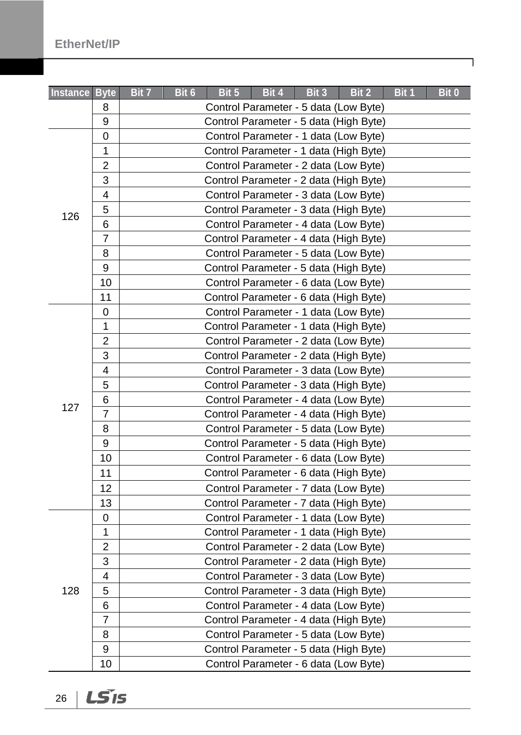| <b>EtherNet/IP</b> |  |  |  |
|--------------------|--|--|--|
|--------------------|--|--|--|

| Instance Byte |                | Bit 7<br>Bit 6 | Bit 5 | Bit 4                                  | Bit 3 | Bit 2 | Bit 1 | Bit 0 |
|---------------|----------------|----------------|-------|----------------------------------------|-------|-------|-------|-------|
|               | 8              |                |       | Control Parameter - 5 data (Low Byte)  |       |       |       |       |
|               | 9              |                |       | Control Parameter - 5 data (High Byte) |       |       |       |       |
|               | 0              |                |       | Control Parameter - 1 data (Low Byte)  |       |       |       |       |
|               | 1              |                |       | Control Parameter - 1 data (High Byte) |       |       |       |       |
|               | $\overline{2}$ |                |       | Control Parameter - 2 data (Low Byte)  |       |       |       |       |
|               | 3              |                |       | Control Parameter - 2 data (High Byte) |       |       |       |       |
|               | 4              |                |       | Control Parameter - 3 data (Low Byte)  |       |       |       |       |
| 126           | 5              |                |       | Control Parameter - 3 data (High Byte) |       |       |       |       |
|               | 6              |                |       | Control Parameter - 4 data (Low Byte)  |       |       |       |       |
|               | $\overline{7}$ |                |       | Control Parameter - 4 data (High Byte) |       |       |       |       |
|               | 8              |                |       | Control Parameter - 5 data (Low Byte)  |       |       |       |       |
|               | 9              |                |       | Control Parameter - 5 data (High Byte) |       |       |       |       |
|               | 10             |                |       | Control Parameter - 6 data (Low Byte)  |       |       |       |       |
|               | 11             |                |       | Control Parameter - 6 data (High Byte) |       |       |       |       |
|               | 0              |                |       | Control Parameter - 1 data (Low Byte)  |       |       |       |       |
|               | 1              |                |       | Control Parameter - 1 data (High Byte) |       |       |       |       |
|               | $\overline{2}$ |                |       | Control Parameter - 2 data (Low Byte)  |       |       |       |       |
|               | 3              |                |       | Control Parameter - 2 data (High Byte) |       |       |       |       |
|               | 4              |                |       | Control Parameter - 3 data (Low Byte)  |       |       |       |       |
|               | 5              |                |       | Control Parameter - 3 data (High Byte) |       |       |       |       |
|               | 6              |                |       | Control Parameter - 4 data (Low Byte)  |       |       |       |       |
| 127           | $\overline{7}$ |                |       | Control Parameter - 4 data (High Byte) |       |       |       |       |
|               | 8              |                |       | Control Parameter - 5 data (Low Byte)  |       |       |       |       |
|               | 9              |                |       | Control Parameter - 5 data (High Byte) |       |       |       |       |
|               | 10             |                |       | Control Parameter - 6 data (Low Byte)  |       |       |       |       |
|               | 11             |                |       | Control Parameter - 6 data (High Byte) |       |       |       |       |
|               | 12             |                |       | Control Parameter - 7 data (Low Byte)  |       |       |       |       |
|               | 13             |                |       | Control Parameter - 7 data (High Byte) |       |       |       |       |
|               | 0              |                |       | Control Parameter - 1 data (Low Byte)  |       |       |       |       |
|               | 1              |                |       | Control Parameter - 1 data (High Byte) |       |       |       |       |
|               | $\overline{2}$ |                |       | Control Parameter - 2 data (Low Byte)  |       |       |       |       |
|               | 3              |                |       | Control Parameter - 2 data (High Byte) |       |       |       |       |
|               | 4              |                |       | Control Parameter - 3 data (Low Byte)  |       |       |       |       |
| 128           | 5              |                |       | Control Parameter - 3 data (High Byte) |       |       |       |       |
|               | 6              |                |       | Control Parameter - 4 data (Low Byte)  |       |       |       |       |
|               | $\overline{7}$ |                |       | Control Parameter - 4 data (High Byte) |       |       |       |       |
|               | 8              |                |       | Control Parameter - 5 data (Low Byte)  |       |       |       |       |
|               | 9              |                |       | Control Parameter - 5 data (High Byte) |       |       |       |       |
|               | 10             |                |       | Control Parameter - 6 data (Low Byte)  |       |       |       |       |

LSIS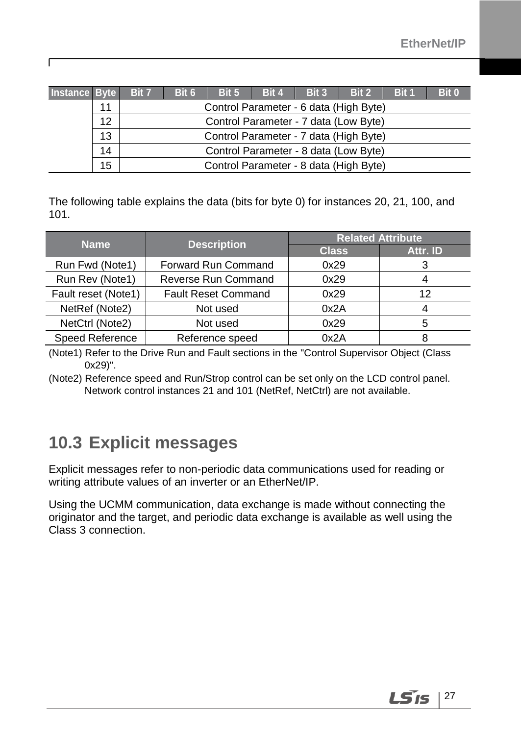| Instance Byte |    | <b>Bit 7</b> | Bit 6                                  | Bit 5 | Bit 4 | Bit 3 | Bit 2                                  | <b>Bit 1</b> | Bit 0 |
|---------------|----|--------------|----------------------------------------|-------|-------|-------|----------------------------------------|--------------|-------|
|               | 11 |              |                                        |       |       |       | Control Parameter - 6 data (High Byte) |              |       |
|               | 12 |              |                                        |       |       |       | Control Parameter - 7 data (Low Byte)  |              |       |
|               | 13 |              | Control Parameter - 7 data (High Byte) |       |       |       |                                        |              |       |
|               | 14 |              |                                        |       |       |       | Control Parameter - 8 data (Low Byte)  |              |       |
|               | 15 |              |                                        |       |       |       | Control Parameter - 8 data (High Byte) |              |       |

The following table explains the data (bits for byte 0) for instances 20, 21, 100, and 101.

| <b>Name</b>         | <b>Description</b>         | <b>Related Attribute</b> |          |  |  |
|---------------------|----------------------------|--------------------------|----------|--|--|
|                     |                            | <b>Class</b>             | Attr. ID |  |  |
| Run Fwd (Note1)     | Forward Run Command        | 0x29                     |          |  |  |
| Run Rev (Note1)     | Reverse Run Command        | 0x29                     | 4        |  |  |
| Fault reset (Note1) | <b>Fault Reset Command</b> | 0x29                     | 12       |  |  |
| NetRef (Note2)      | Not used                   | 0x2A                     | 4        |  |  |
| NetCtrl (Note2)     | Not used                   | 0x29                     | 5        |  |  |
| Speed Reference     | Reference speed            | 0x2A                     |          |  |  |

(Note1) Refer to the Drive Run and Fault sections in the "Control Supervisor Object (Class 0x29)".

<span id="page-30-0"></span>(Note2) Reference speed and Run/Strop control can be set only on the LCD control panel. Network control instances 21 and 101 (NetRef, NetCtrl) are not available.

### **10.3 Explicit messages**

Г

Explicit messages refer to non-periodic data communications used for reading or writing attribute values of an inverter or an EtherNet/IP.

Using the UCMM communication, data exchange is made without connecting the originator and the target, and periodic data exchange is available as well using the Class 3 connection.

LS is  $\vert$  27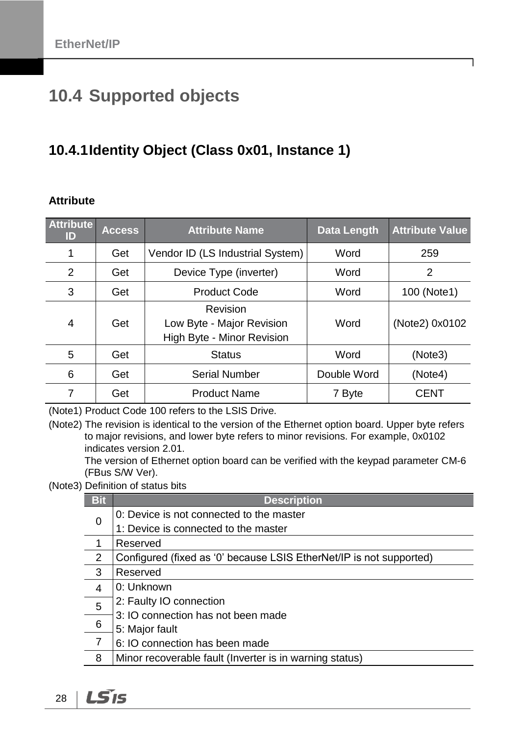## <span id="page-31-0"></span>**10.4 Supported objects**

### <span id="page-31-1"></span>**10.4.1Identity Object (Class 0x01, Instance 1)**

#### **Attribute**

| <b>Attribute</b><br>ID | <b>Access</b> | <b>Attribute Name</b>                                               | <b>Data Length</b> | <b>Attribute Value</b> |
|------------------------|---------------|---------------------------------------------------------------------|--------------------|------------------------|
|                        | Get           | Vendor ID (LS Industrial System)                                    | Word               | 259                    |
| $\overline{2}$         | Get           | Device Type (inverter)                                              | Word               | 2                      |
| 3                      | Get           | <b>Product Code</b>                                                 | Word               | 100 (Note1)            |
| 4                      | Get           | Revision<br>Low Byte - Major Revision<br>High Byte - Minor Revision | Word               | (Note2) 0x0102         |
| 5                      | Get           | <b>Status</b>                                                       | Word               | (Note3)                |
| 6                      | Get           | <b>Serial Number</b>                                                | Double Word        | (Note4)                |
| 7                      | Get           | <b>Product Name</b>                                                 | 7 Byte             | <b>CENT</b>            |

(Note1) Product Code 100 refers to the LSIS Drive.

(Note2) The revision is identical to the version of the Ethernet option board. Upper byte refers to major revisions, and lower byte refers to minor revisions. For example, 0x0102 indicates version 2.01.

The version of Ethernet option board can be verified with the keypad parameter CM-6 (FBus S/W Ver).

(Note3) Definition of status bits

| <b>Bit</b>     | <b>Description</b>                                                  |
|----------------|---------------------------------------------------------------------|
| 0              | 0: Device is not connected to the master                            |
|                | 1: Device is connected to the master                                |
|                | Reserved                                                            |
| 2              | Configured (fixed as '0' because LSIS EtherNet/IP is not supported) |
| 3              | Reserved                                                            |
| $\overline{4}$ | 0: Unknown                                                          |
| 5              | 2: Faulty IO connection                                             |
|                | 3: IO connection has not been made                                  |
| 6              | 5: Major fault                                                      |
| 7              | 6: IO connection has been made                                      |
| 8              | Minor recoverable fault (Inverter is in warning status)             |

LS<sub>IS</sub> 28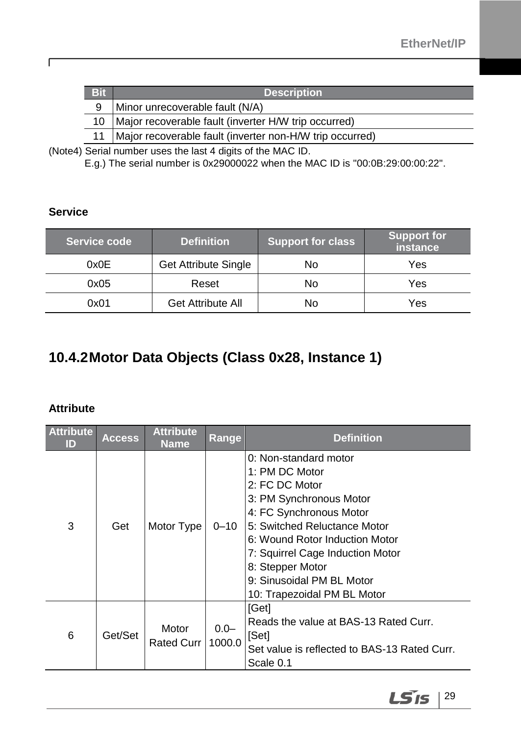| <b>Bit</b> | <b>Description</b>                                       |
|------------|----------------------------------------------------------|
| 9          | Minor unrecoverable fault (N/A)                          |
| 10         | Major recoverable fault (inverter H/W trip occurred)     |
|            | Major recoverable fault (inverter non-H/W trip occurred) |

(Note4) Serial number uses the last 4 digits of the MAC ID.

E.g.) The serial number is 0x29000022 when the MAC ID is "00:0B:29:00:00:22".

### **Service**

 $\sqrt{ }$ 

| Service code | <b>Definition</b>           | <b>Support for class</b> | <b>Support for</b><br>instance |
|--------------|-----------------------------|--------------------------|--------------------------------|
| 0x0E         | <b>Get Attribute Single</b> | No                       | Yes                            |
| 0x05         | Reset                       | No                       | Yes                            |
| 0x01         | <b>Get Attribute All</b>    | No                       | Yes                            |

### <span id="page-32-0"></span>**10.4.2Motor Data Objects (Class 0x28, Instance 1)**

#### **Attribute**

| <b>Attribute</b><br>ID | <b>Access</b> | <b>Attribute</b><br><b>Name</b> | Range             | <b>Definition</b>                                                                                                                                                                                                                                                                                     |
|------------------------|---------------|---------------------------------|-------------------|-------------------------------------------------------------------------------------------------------------------------------------------------------------------------------------------------------------------------------------------------------------------------------------------------------|
| 3                      | Get           | Motor Type                      | $0 - 10$          | 0: Non-standard motor<br>1: PM DC Motor<br>2: FC DC Motor<br>3: PM Synchronous Motor<br>4: FC Synchronous Motor<br>5: Switched Reluctance Motor<br>6: Wound Rotor Induction Motor<br>7: Squirrel Cage Induction Motor<br>8: Stepper Motor<br>9: Sinusoidal PM BL Motor<br>10: Trapezoidal PM BL Motor |
| 6                      | Get/Set       | Motor<br><b>Rated Curr</b>      | $0.0 -$<br>1000.0 | [Get]<br>Reads the value at BAS-13 Rated Curr.<br>[Set]<br>Set value is reflected to BAS-13 Rated Curr.<br>Scale 0.1                                                                                                                                                                                  |

 $LS$ <sub>15</sub> | 29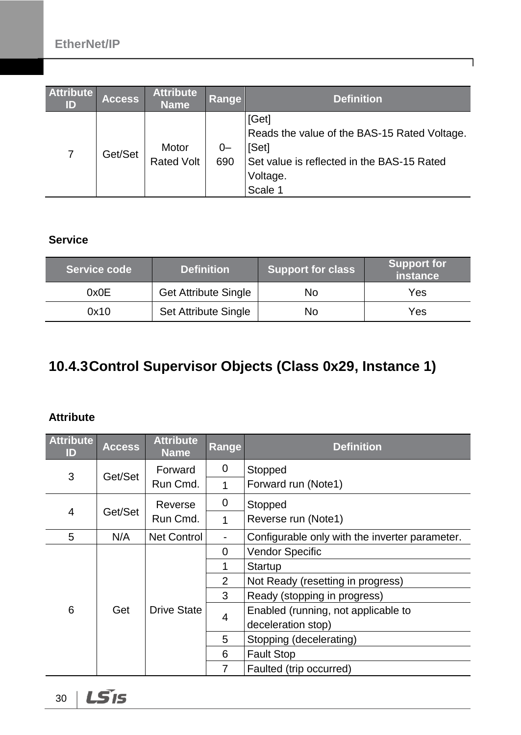| <b>Attribute</b><br>ID | <b>Access</b> | <b>Attribute</b><br><b>Name</b> | <b>Range</b> | <b>Definition</b>                                                                                                                   |
|------------------------|---------------|---------------------------------|--------------|-------------------------------------------------------------------------------------------------------------------------------------|
| 7                      | Get/Set       | Motor<br><b>Rated Volt</b>      | $0-$<br>690  | [Get]<br>Reads the value of the BAS-15 Rated Voltage.<br>[Set]<br>Set value is reflected in the BAS-15 Rated<br>Voltage.<br>Scale 1 |

٦

#### **Service**

| Service code | <b>Definition</b>           | <b>Support for class</b> | <b>Support for</b><br>instance <b>l</b> |
|--------------|-----------------------------|--------------------------|-----------------------------------------|
| 0x0E         | <b>Get Attribute Single</b> | No                       | Yes                                     |
| 0x10         | <b>Set Attribute Single</b> | No                       | Yes                                     |

### <span id="page-33-0"></span>**10.4.3Control Supervisor Objects (Class 0x29, Instance 1)**

#### **Attribute**

| <b>Attribute</b><br>ID | <b>Access</b> | <b>Attribute</b><br><b>Name</b> | Range | <b>Definition</b>                              |  |  |
|------------------------|---------------|---------------------------------|-------|------------------------------------------------|--|--|
| 3                      |               | Forward                         | 0     | Stopped                                        |  |  |
|                        | Get/Set       | Run Cmd.                        | 1     | Forward run (Note1)                            |  |  |
|                        |               | Reverse                         | 0     | Stopped                                        |  |  |
| 4                      | Get/Set       | Run Cmd.                        | 1     | Reverse run (Note1)                            |  |  |
| 5                      | N/A           | <b>Net Control</b>              |       | Configurable only with the inverter parameter. |  |  |
|                        |               | <b>Drive State</b>              | 0     | <b>Vendor Specific</b>                         |  |  |
|                        |               |                                 | 1     | Startup                                        |  |  |
|                        |               |                                 | 2     | Not Ready (resetting in progress)              |  |  |
|                        |               |                                 | 3     | Ready (stopping in progress)                   |  |  |
| 6                      | Get           |                                 | 4     | Enabled (running, not applicable to            |  |  |
|                        |               |                                 |       | deceleration stop)                             |  |  |
|                        |               |                                 | 5     | Stopping (decelerating)                        |  |  |
|                        |               |                                 | 6     | <b>Fault Stop</b>                              |  |  |
|                        |               |                                 | 7     | Faulted (trip occurred)                        |  |  |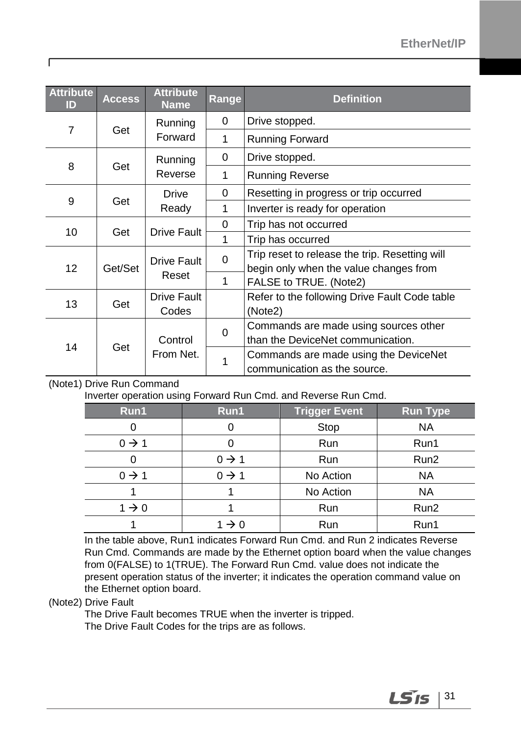| <b>Attribute</b><br>ID | <b>Access</b> | <b>Attribute</b><br><b>Name</b> | Range    | <b>Definition</b>                              |
|------------------------|---------------|---------------------------------|----------|------------------------------------------------|
| $\overline{7}$         |               | Running                         | 0        | Drive stopped.                                 |
|                        | Get           | Forward                         | 1        | <b>Running Forward</b>                         |
|                        |               | Running                         | 0        | Drive stopped.                                 |
| 8                      | Get           | Reverse                         | 1        | <b>Running Reverse</b>                         |
|                        |               | Drive                           |          | Resetting in progress or trip occurred         |
| 9<br>Get               |               | Ready                           | 1        | Inverter is ready for operation                |
| 10                     | Get           | <b>Drive Fault</b>              | 0        | Trip has not occurred                          |
|                        |               |                                 | 1        | Trip has occurred                              |
|                        |               | <b>Drive Fault</b><br>Reset     | $\Omega$ | Trip reset to release the trip. Resetting will |
| 12 <sub>2</sub>        | Get/Set       |                                 |          | begin only when the value changes from         |
|                        |               |                                 | 1        | FALSE to TRUE. (Note2)                         |
| 13                     | Get           | <b>Drive Fault</b>              |          | Refer to the following Drive Fault Code table  |
|                        |               | Codes                           |          | (Note2)                                        |
|                        |               |                                 |          | Commands are made using sources other          |
|                        | Get           | Control                         | 0        | than the DeviceNet communication.              |
| 14                     |               | From Net.<br>1                  |          | Commands are made using the DeviceNet          |
|                        |               |                                 |          | communication as the source.                   |

#### (Note1) Drive Run Command

Г

Inverter operation using Forward Run Cmd. and Reverse Run Cmd.

| Run1              | Run1              | <b>Trigger Event</b> | <b>Run Type</b>  |
|-------------------|-------------------|----------------------|------------------|
|                   |                   | Stop                 | <b>NA</b>        |
| $0 \rightarrow 1$ |                   | Run                  | Run1             |
|                   | $0 \rightarrow 1$ | Run                  | Run <sub>2</sub> |
| $0 \rightarrow 1$ | $0 \rightarrow 1$ | No Action            | <b>NA</b>        |
|                   |                   | No Action            | <b>NA</b>        |
| $1 \rightarrow 0$ |                   | Run                  | Run <sub>2</sub> |
|                   | $1 \rightarrow 0$ | Run                  | Run1             |

In the table above, Run1 indicates Forward Run Cmd. and Run 2 indicates Reverse Run Cmd. Commands are made by the Ethernet option board when the value changes from 0(FALSE) to 1(TRUE). The Forward Run Cmd. value does not indicate the present operation status of the inverter; it indicates the operation command value on the Ethernet option board.

#### (Note2) Drive Fault

The Drive Fault becomes TRUE when the inverter is tripped. The Drive Fault Codes for the trips are as follows.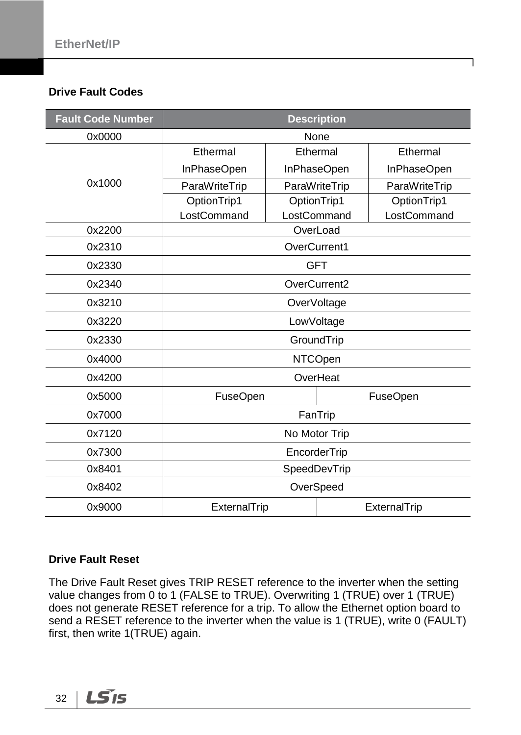#### **Drive Fault Codes**

| <b>Fault Code Number</b> | <b>Description</b> |               |  |                 |  |
|--------------------------|--------------------|---------------|--|-----------------|--|
| 0x0000                   | None               |               |  |                 |  |
|                          | Ethermal           | Ethermal      |  | Ethermal        |  |
|                          | InPhaseOpen        | InPhaseOpen   |  | InPhaseOpen     |  |
| 0x1000                   | ParaWriteTrip      | ParaWriteTrip |  | ParaWriteTrip   |  |
|                          | OptionTrip1        | OptionTrip1   |  | OptionTrip1     |  |
|                          | LostCommand        | LostCommand   |  | LostCommand     |  |
| 0x2200                   |                    | OverLoad      |  |                 |  |
| 0x2310                   |                    | OverCurrent1  |  |                 |  |
| 0x2330                   |                    | <b>GFT</b>    |  |                 |  |
| 0x2340                   |                    | OverCurrent2  |  |                 |  |
| 0x3210                   | OverVoltage        |               |  |                 |  |
| 0x3220                   | LowVoltage         |               |  |                 |  |
| 0x2330                   | GroundTrip         |               |  |                 |  |
| 0x4000                   | <b>NTCOpen</b>     |               |  |                 |  |
| 0x4200                   |                    | OverHeat      |  |                 |  |
| 0x5000                   | <b>FuseOpen</b>    |               |  | <b>FuseOpen</b> |  |
| 0x7000                   |                    | FanTrip       |  |                 |  |
| 0x7120                   | No Motor Trip      |               |  |                 |  |
| 0x7300                   | EncorderTrip       |               |  |                 |  |
| 0x8401                   | SpeedDevTrip       |               |  |                 |  |
| 0x8402                   | OverSpeed          |               |  |                 |  |
| 0x9000                   | ExternalTrip       |               |  | ExternalTrip    |  |

#### **Drive Fault Reset**

The Drive Fault Reset gives TRIP RESET reference to the inverter when the setting value changes from 0 to 1 (FALSE to TRUE). Overwriting 1 (TRUE) over 1 (TRUE) does not generate RESET reference for a trip. To allow the Ethernet option board to send a RESET reference to the inverter when the value is 1 (TRUE), write 0 (FAULT) first, then write 1(TRUE) again.

LS<sub>IS</sub> 32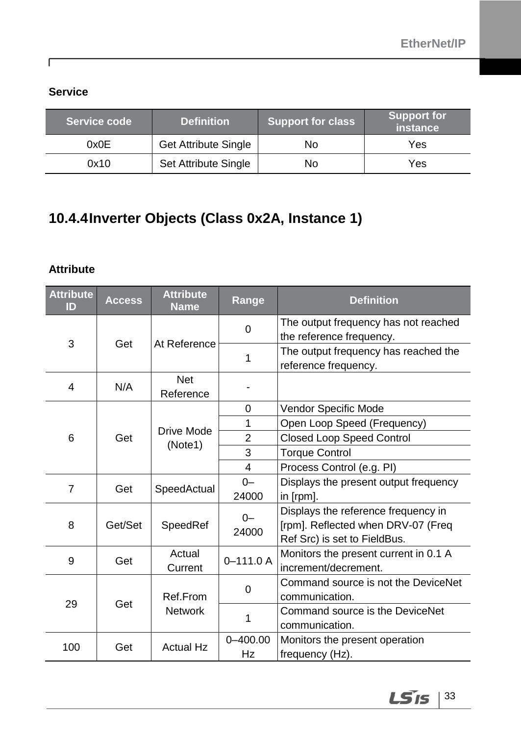### **Service**

Г

| Service code | <b>Definition</b>           | <b>Support for class</b> | <b>Support for</b><br>instance |
|--------------|-----------------------------|--------------------------|--------------------------------|
| 0x0E         | <b>Get Attribute Single</b> | No                       | Yes                            |
| 0x10         | Set Attribute Single        | No                       | Yes                            |

### <span id="page-36-0"></span>**10.4.4Inverter Objects (Class 0x2A, Instance 1)**

#### **Attribute**

| <b>Attribute</b><br>ID | <b>Access</b> | <b>Attribute</b><br><b>Name</b> | Range              | <b>Definition</b>                                                                                         |
|------------------------|---------------|---------------------------------|--------------------|-----------------------------------------------------------------------------------------------------------|
| 3                      |               | At Reference                    | 0                  | The output frequency has not reached<br>the reference frequency.                                          |
|                        | Get           |                                 | 1                  | The output frequency has reached the<br>reference frequency.                                              |
| 4                      | N/A           | <b>Net</b><br>Reference         |                    |                                                                                                           |
|                        |               |                                 | 0                  | Vendor Specific Mode                                                                                      |
|                        |               |                                 | 1                  | Open Loop Speed (Frequency)                                                                               |
| 6                      | Get           | Drive Mode<br>(Note1)           | $\overline{2}$     | <b>Closed Loop Speed Control</b>                                                                          |
|                        |               |                                 | 3                  | <b>Torque Control</b>                                                                                     |
|                        |               |                                 | $\overline{4}$     | Process Control (e.g. PI)                                                                                 |
| $\overline{7}$         | Get           | SpeedActual                     | $0-$               | Displays the present output frequency                                                                     |
|                        |               |                                 | 24000              | in [rpm].                                                                                                 |
| 8                      | Get/Set       | SpeedRef                        | $0 -$<br>24000     | Displays the reference frequency in<br>[rpm]. Reflected when DRV-07 (Freq<br>Ref Src) is set to FieldBus. |
| 9                      | Get           | Actual<br>Current               | $0 - 111.0 A$      | Monitors the present current in 0.1 A<br>increment/decrement.                                             |
| 29                     | Get           | Ref.From<br><b>Network</b>      | 0                  | Command source is not the DeviceNet<br>communication.                                                     |
|                        |               |                                 | 1                  | Command source is the DeviceNet<br>communication.                                                         |
| 100                    | Get           | <b>Actual Hz</b>                | $0 - 400.00$<br>Hz | Monitors the present operation<br>frequency (Hz).                                                         |

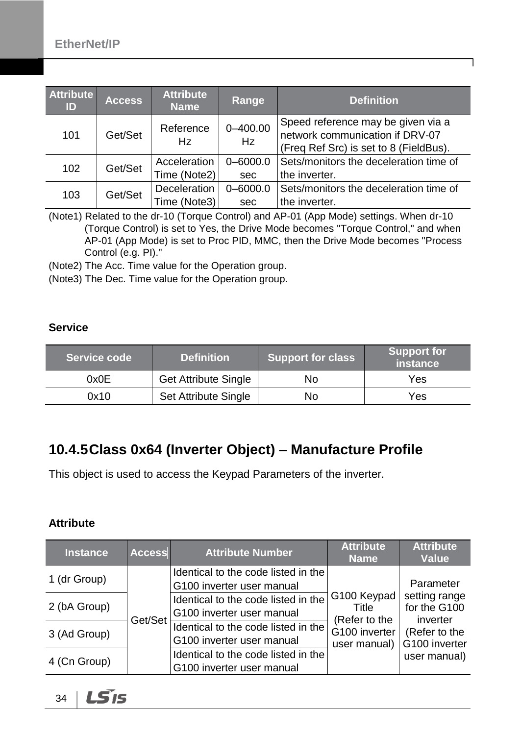| <b>Attribute</b><br>ID | <b>Access</b> | <b>Attribute</b><br><b>Name</b> | Range              | <b>Definition</b>                                                                                               |
|------------------------|---------------|---------------------------------|--------------------|-----------------------------------------------------------------------------------------------------------------|
| 101                    | Get/Set       | Reference<br>Hz                 | $0 - 400.00$<br>Hz | Speed reference may be given via a<br>network communication if DRV-07<br>(Freq Ref Src) is set to 8 (FieldBus). |
| 102                    | Get/Set       | Acceleration                    | $0 - 6000.0$       | Sets/monitors the deceleration time of                                                                          |
|                        |               | Time (Note2)                    | sec                | the inverter.                                                                                                   |
| 103                    | Get/Set       | Deceleration                    | $0 - 6000.0$       | Sets/monitors the deceleration time of                                                                          |
|                        |               | Time (Note3)                    | sec                | the inverter.                                                                                                   |

(Note1) Related to the dr-10 (Torque Control) and AP-01 (App Mode) settings. When dr-10 (Torque Control) is set to Yes, the Drive Mode becomes "Torque Control," and when AP-01 (App Mode) is set to Proc PID, MMC, then the Drive Mode becomes "Process Control (e.g. PI)."

(Note2) The Acc. Time value for the Operation group.

(Note3) The Dec. Time value for the Operation group.

#### **Service**

| Service code | <b>Definition</b>           | <b>Support for class</b> | <b>Support for</b><br><b>instance</b> |
|--------------|-----------------------------|--------------------------|---------------------------------------|
| 0x0E         | <b>Get Attribute Single</b> | No                       | Yes                                   |
| 0x10         | Set Attribute Single        | No                       | Yes                                   |

### <span id="page-37-0"></span>**10.4.5Class 0x64 (Inverter Object) – Manufacture Profile**

This object is used to access the Keypad Parameters of the inverter.

#### **Attribute**

| <b>Instance</b> | <b>Access</b> | <b>Attribute Number</b>                                          | <b>Attribute</b><br><b>Name</b>                | <b>Attribute</b><br><b>Value</b>                                                         |
|-----------------|---------------|------------------------------------------------------------------|------------------------------------------------|------------------------------------------------------------------------------------------|
| 1 (dr Group)    |               | Identical to the code listed in the<br>G100 inverter user manual |                                                | Parameter<br>setting range<br>for the G100<br>inverter<br>(Refer to the<br>G100 inverter |
| 2 (bA Group)    |               | Identical to the code listed in the<br>G100 inverter user manual | G100 Keypad<br>Title                           |                                                                                          |
| 3 (Ad Group)    | Get/Set       | Identical to the code listed in the<br>G100 inverter user manual | (Refer to the<br>G100 inverter<br>user manual) |                                                                                          |
| 4 (Cn Group)    |               | Identical to the code listed in the<br>G100 inverter user manual |                                                | user manual)                                                                             |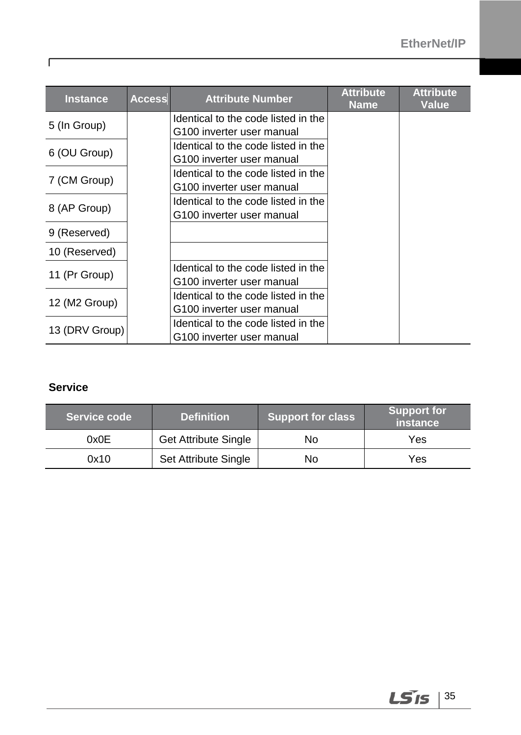| <b>Instance</b> | <b>Access</b> | <b>Attribute Number</b>             | <b>Attribute</b><br><b>Name</b> | <b>Attribute</b><br><b>Value</b> |
|-----------------|---------------|-------------------------------------|---------------------------------|----------------------------------|
| 5 (In Group)    |               | Identical to the code listed in the |                                 |                                  |
|                 |               | G100 inverter user manual           |                                 |                                  |
| 6 (OU Group)    |               | Identical to the code listed in the |                                 |                                  |
|                 |               | G100 inverter user manual           |                                 |                                  |
| 7 (CM Group)    |               | Identical to the code listed in the |                                 |                                  |
|                 |               | G100 inverter user manual           |                                 |                                  |
|                 |               | Identical to the code listed in the |                                 |                                  |
| 8 (AP Group)    |               | G100 inverter user manual           |                                 |                                  |
| 9 (Reserved)    |               |                                     |                                 |                                  |
| 10 (Reserved)   |               |                                     |                                 |                                  |
| 11 (Pr Group)   |               | Identical to the code listed in the |                                 |                                  |
|                 |               | G100 inverter user manual           |                                 |                                  |
| 12 (M2 Group)   |               | Identical to the code listed in the |                                 |                                  |
|                 |               | G100 inverter user manual           |                                 |                                  |
|                 |               | Identical to the code listed in the |                                 |                                  |
| 13 (DRV Group)  |               | G100 inverter user manual           |                                 |                                  |

#### **Service**

| Service code | <b>Definition</b>           | <b>Support for class</b> | <b>Support for</b><br>instance |
|--------------|-----------------------------|--------------------------|--------------------------------|
| 0x0E         | <b>Get Attribute Single</b> | No                       | Yes                            |
| 0x10         | Set Attribute Single        | No                       | Yes                            |

 $\Gamma$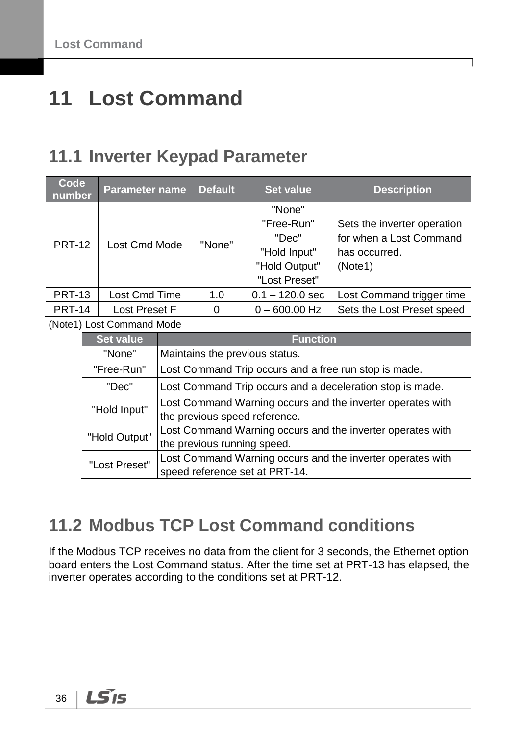# <span id="page-39-0"></span>**11 Lost Command**

### <span id="page-39-1"></span>**11.1 Inverter Keypad Parameter**

| Code<br>number | <b>Parameter name</b>     |                                                           | <b>Default</b>                                             | <b>Set value</b>               | <b>Description</b>                                         |  |  |
|----------------|---------------------------|-----------------------------------------------------------|------------------------------------------------------------|--------------------------------|------------------------------------------------------------|--|--|
|                |                           |                                                           |                                                            | "None"<br>"Free-Run"           | Sets the inverter operation                                |  |  |
|                |                           | Lost Cmd Mode                                             |                                                            | "Dec"                          | for when a Lost Command                                    |  |  |
| <b>PRT-12</b>  |                           |                                                           |                                                            | "Hold Input"                   | has occurred.                                              |  |  |
|                |                           |                                                           |                                                            | "Hold Output"                  | (Note1)                                                    |  |  |
|                |                           |                                                           |                                                            | "Lost Preset"                  |                                                            |  |  |
| <b>PRT-13</b>  |                           | Lost Cmd Time                                             |                                                            | $0.1 - 120.0$ sec              | Lost Command trigger time                                  |  |  |
| <b>PRT-14</b>  | Lost Preset F             |                                                           | 0                                                          | $0 - 600.00$ Hz                | Sets the Lost Preset speed                                 |  |  |
|                | (Note1) Lost Command Mode |                                                           |                                                            |                                |                                                            |  |  |
|                | <b>Set value</b>          |                                                           | <b>Function</b>                                            |                                |                                                            |  |  |
|                | "None"                    |                                                           | Maintains the previous status.                             |                                |                                                            |  |  |
|                | "Free-Run"                |                                                           | Lost Command Trip occurs and a free run stop is made.      |                                |                                                            |  |  |
|                | "Dec"                     | Lost Command Trip occurs and a deceleration stop is made. |                                                            |                                |                                                            |  |  |
|                | "Hold Input"              |                                                           | Lost Command Warning occurs and the inverter operates with |                                |                                                            |  |  |
|                |                           |                                                           | the previous speed reference.                              |                                |                                                            |  |  |
|                | "Hold Output"             |                                                           | Lost Command Warning occurs and the inverter operates with |                                |                                                            |  |  |
|                |                           |                                                           | the previous running speed.                                |                                |                                                            |  |  |
|                | "Lost Preset"             |                                                           |                                                            | speed reference set at PRT-14. | Lost Command Warning occurs and the inverter operates with |  |  |

## <span id="page-39-2"></span>**11.2 Modbus TCP Lost Command conditions**

If the Modbus TCP receives no data from the client for 3 seconds, the Ethernet option board enters the Lost Command status. After the time set at PRT-13 has elapsed, the inverter operates according to the conditions set at PRT-12.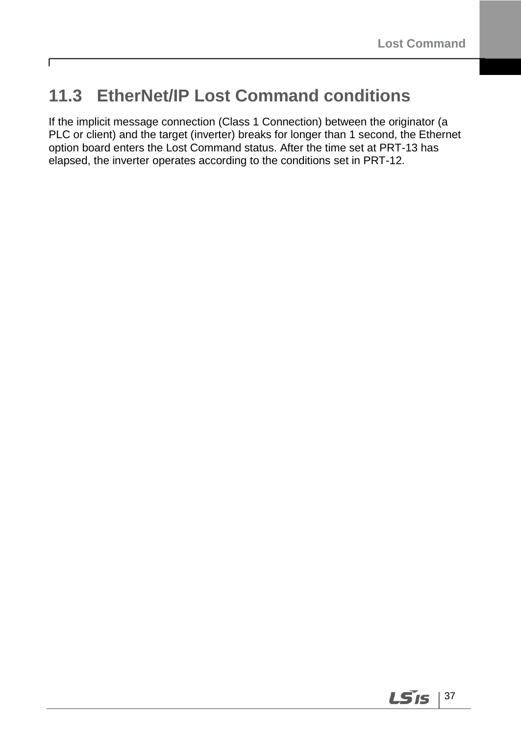## <span id="page-40-0"></span>**11.3 EtherNet/IP Lost Command conditions**

 $\Gamma$ 

If the implicit message connection (Class 1 Connection) between the originator (a PLC or client) and the target (inverter) breaks for longer than 1 second, the Ethernet option board enters the Lost Command status. After the time set at PRT-13 has elapsed, the inverter operates according to the conditions set in PRT-12.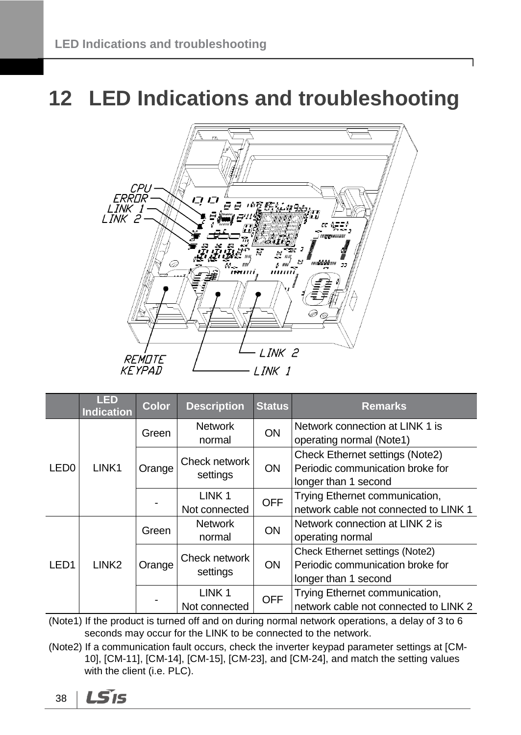# <span id="page-41-0"></span>**12 LED Indications and troubleshooting**



|                  | <b>LED</b><br><b>Indication</b> | <b>Color</b> | <b>Description</b>                 | <b>Status</b> | <b>Remarks</b>                                                                                     |
|------------------|---------------------------------|--------------|------------------------------------|---------------|----------------------------------------------------------------------------------------------------|
| LED <sub>0</sub> |                                 | Green        | <b>Network</b><br>normal           | <b>ON</b>     | Network connection at LINK 1 is<br>operating normal (Note1)                                        |
|                  | LINK1                           | Orange       | Check network<br>settings          | <b>ON</b>     | <b>Check Ethernet settings (Note2)</b><br>Periodic communication broke for<br>longer than 1 second |
|                  |                                 |              | LINK <sub>1</sub><br>Not connected | <b>OFF</b>    | Trying Ethernet communication,<br>network cable not connected to LINK 1                            |
| LED <sub>1</sub> | LINK <sub>2</sub>               | Green        | <b>Network</b><br>normal           | <b>ON</b>     | Network connection at LINK 2 is<br>operating normal                                                |
|                  |                                 | Orange       | Check network<br>settings          | <b>ON</b>     | Check Ethernet settings (Note2)<br>Periodic communication broke for<br>longer than 1 second        |
|                  |                                 |              | LINK <sub>1</sub><br>Not connected | <b>OFF</b>    | Trying Ethernet communication,<br>network cable not connected to LINK 2                            |

(Note1) If the product is turned off and on during normal network operations, a delay of 3 to 6 seconds may occur for the LINK to be connected to the network.

(Note2) If a communication fault occurs, check the inverter keypad parameter settings at [CM-10], [CM-11], [CM-14], [CM-15], [CM-23], and [CM-24], and match the setting values with the client (i.e. PLC).

$$
38 \mid \text{L}S1S
$$